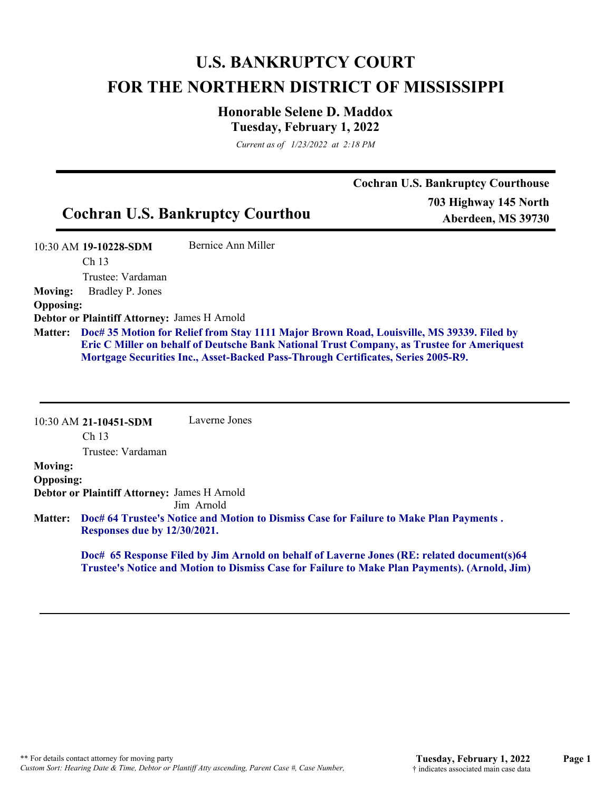# **U.S. BANKRUPTCY COURT FOR THE NORTHERN DISTRICT OF MISSISSIPPI**

## **Honorable Selene D. Maddox Tuesday, February 1, 2022**

*Current as of 1/23/2022 at 2:18 PM*

|                                         | <b>Cochran U.S. Bankruptcy Courthouse</b> |
|-----------------------------------------|-------------------------------------------|
|                                         | 703 Highway 145 North                     |
| <b>Cochran U.S. Bankruptcy Courthou</b> | Aberdeen, MS 39730                        |

10:30 AM **19-10228-SDM**  Ch 13 Trustee: Vardaman Bernice Ann Miller **Moving:** Bradley P. Jones **Opposing: Debtor or Plaintiff Attorney:** James H Arnold **Doc# 35 Motion for Relief from Stay 1111 Major Brown Road, Louisville, MS 39339. Filed by Matter: Eric C Miller on behalf of Deutsche Bank National Trust Company, as Trustee for Ameriquest Mortgage Securities Inc., Asset-Backed Pass-Through Certificates, Series 2005-R9.**

|                  | $10:30$ AM 21-10451-SDM                             | Laverne Jones                                                                                                                                                                               |
|------------------|-----------------------------------------------------|---------------------------------------------------------------------------------------------------------------------------------------------------------------------------------------------|
|                  | Ch <sub>13</sub>                                    |                                                                                                                                                                                             |
|                  | Trustee: Vardaman                                   |                                                                                                                                                                                             |
| <b>Moving:</b>   |                                                     |                                                                                                                                                                                             |
| <b>Opposing:</b> |                                                     |                                                                                                                                                                                             |
|                  | <b>Debtor or Plaintiff Attorney: James H Arnold</b> |                                                                                                                                                                                             |
|                  |                                                     | Jim Arnold                                                                                                                                                                                  |
| <b>Matter:</b>   |                                                     | Doc# 64 Trustee's Notice and Motion to Dismiss Case for Failure to Make Plan Payments.                                                                                                      |
|                  | Responses due by 12/30/2021.                        |                                                                                                                                                                                             |
|                  |                                                     | Doc# 65 Response Filed by Jim Arnold on behalf of Laverne Jones (RE: related document(s)64<br>Trustee's Notice and Motion to Dismiss Case for Failure to Make Plan Payments). (Arnold, Jim) |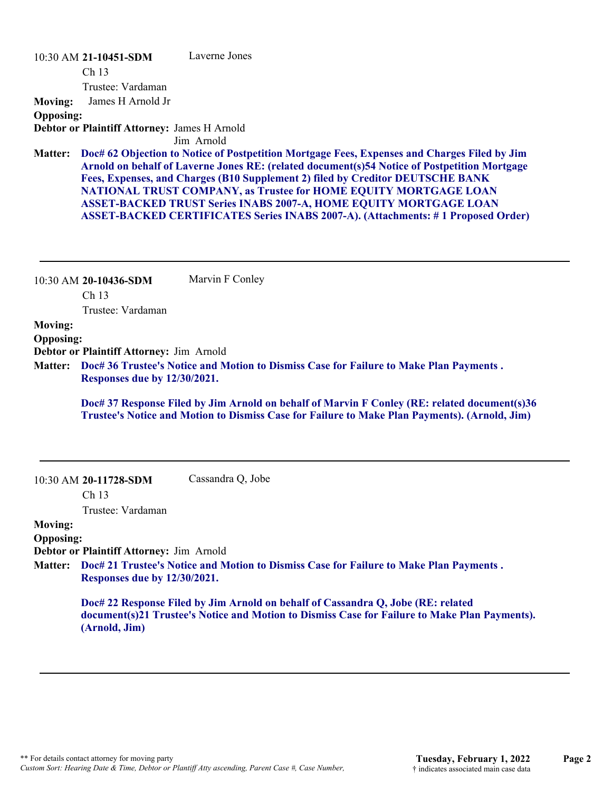10:30 AM **21-10451-SDM**  Ch 13 Trustee: Vardaman Laverne Jones **Moving:** James H Arnold Jr **Opposing: Debtor or Plaintiff Attorney:** James H Arnold Jim Arnold **Doc# 62 Objection to Notice of Postpetition Mortgage Fees, Expenses and Charges Filed by Jim Matter: Arnold on behalf of Laverne Jones RE: (related document(s)54 Notice of Postpetition Mortgage**

**Fees, Expenses, and Charges (B10 Supplement 2) filed by Creditor DEUTSCHE BANK NATIONAL TRUST COMPANY, as Trustee for HOME EQUITY MORTGAGE LOAN ASSET-BACKED TRUST Series INABS 2007-A, HOME EQUITY MORTGAGE LOAN ASSET-BACKED CERTIFICATES Series INABS 2007-A). (Attachments: # 1 Proposed Order)**

10:30 AM **20-10436-SDM**  Ch 13 Marvin F Conley

Trustee: Vardaman

## **Moving:**

#### **Opposing:**

**Debtor or Plaintiff Attorney:** Jim Arnold

**Doc# 36 Trustee's Notice and Motion to Dismiss Case for Failure to Make Plan Payments . Matter: Responses due by 12/30/2021.**

> **Doc# 37 Response Filed by Jim Arnold on behalf of Marvin F Conley (RE: related document(s)36 Trustee's Notice and Motion to Dismiss Case for Failure to Make Plan Payments). (Arnold, Jim)**

| 10:30 AM 20-11728-SDM | Cassandra Q, Jobe |  |
|-----------------------|-------------------|--|
|-----------------------|-------------------|--|

Ch 13

Trustee: Vardaman

#### **Moving:**

### **Opposing:**

**Debtor or Plaintiff Attorney:** Jim Arnold

**Doc# 21 Trustee's Notice and Motion to Dismiss Case for Failure to Make Plan Payments . Matter: Responses due by 12/30/2021.**

> **Doc# 22 Response Filed by Jim Arnold on behalf of Cassandra Q, Jobe (RE: related document(s)21 Trustee's Notice and Motion to Dismiss Case for Failure to Make Plan Payments). (Arnold, Jim)**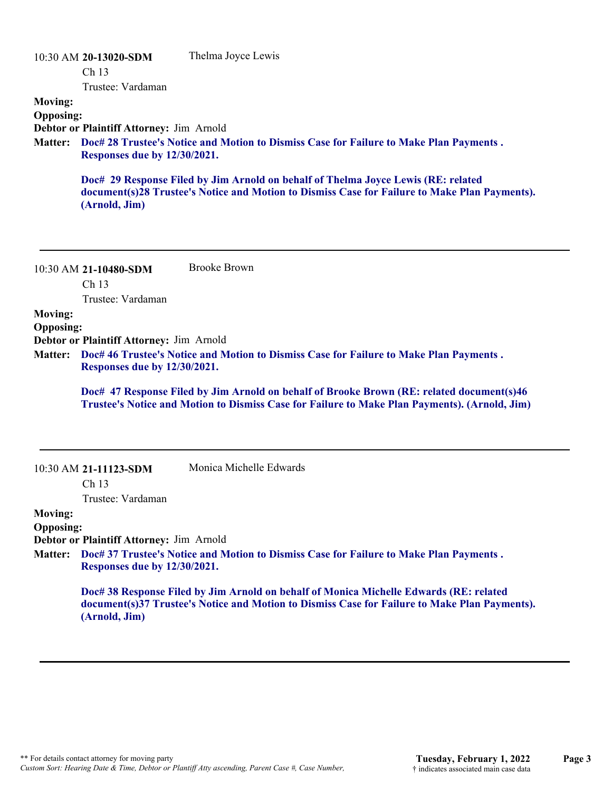10:30 AM **20-13020-SDM**  Ch 13 Trustee: Vardaman Thelma Joyce Lewis **Moving: Opposing: Debtor or Plaintiff Attorney:** Jim Arnold **Doc# 28 Trustee's Notice and Motion to Dismiss Case for Failure to Make Plan Payments . Matter: Responses due by 12/30/2021. Doc# 29 Response Filed by Jim Arnold on behalf of Thelma Joyce Lewis (RE: related document(s)28 Trustee's Notice and Motion to Dismiss Case for Failure to Make Plan Payments). (Arnold, Jim)**

10:30 AM **21-10480-SDM**  Ch 13 Trustee: Vardaman Brooke Brown

**Moving:**

**Opposing:**

**Debtor or Plaintiff Attorney:** Jim Arnold

**Doc# 46 Trustee's Notice and Motion to Dismiss Case for Failure to Make Plan Payments . Matter: Responses due by 12/30/2021.**

**Doc# 47 Response Filed by Jim Arnold on behalf of Brooke Brown (RE: related document(s)46 Trustee's Notice and Motion to Dismiss Case for Failure to Make Plan Payments). (Arnold, Jim)**

|                  | $10:30$ AM 21-11123-SDM                  | Monica Michelle Edwards                                                                                                                                                                 |
|------------------|------------------------------------------|-----------------------------------------------------------------------------------------------------------------------------------------------------------------------------------------|
|                  | Ch <sub>13</sub>                         |                                                                                                                                                                                         |
|                  | Trustee: Vardaman                        |                                                                                                                                                                                         |
| <b>Moving:</b>   |                                          |                                                                                                                                                                                         |
| <b>Opposing:</b> |                                          |                                                                                                                                                                                         |
|                  | Debtor or Plaintiff Attorney: Jim Arnold |                                                                                                                                                                                         |
| <b>Matter:</b>   |                                          | Doc# 37 Trustee's Notice and Motion to Dismiss Case for Failure to Make Plan Payments.                                                                                                  |
|                  | Responses due by 12/30/2021.             |                                                                                                                                                                                         |
|                  | (Arnold, Jim)                            | Doc# 38 Response Filed by Jim Arnold on behalf of Monica Michelle Edwards (RE: related<br>document(s)37 Trustee's Notice and Motion to Dismiss Case for Failure to Make Plan Payments). |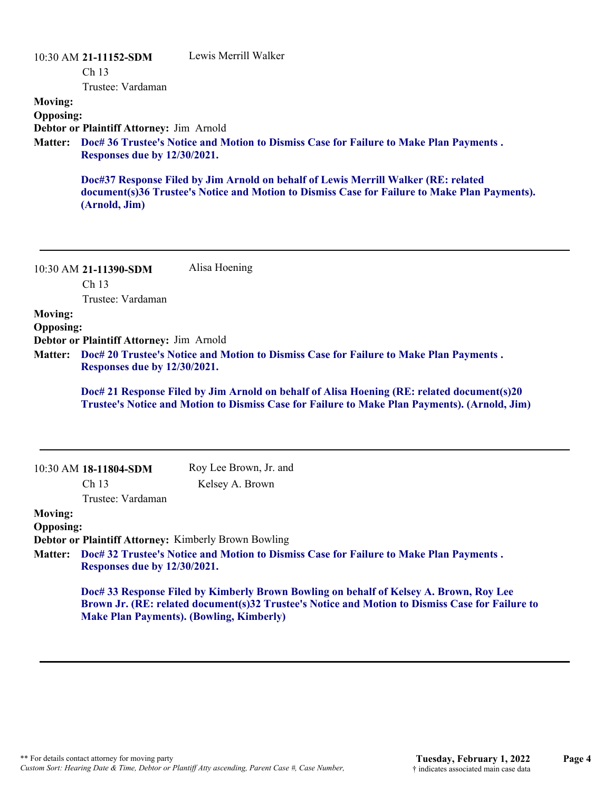|                  | 10:30 AM 21-11152-SDM                    | Lewis Merrill Walker                                                                                                                                                                |
|------------------|------------------------------------------|-------------------------------------------------------------------------------------------------------------------------------------------------------------------------------------|
|                  | Ch <sub>13</sub>                         |                                                                                                                                                                                     |
|                  | Trustee: Vardaman                        |                                                                                                                                                                                     |
| <b>Moving:</b>   |                                          |                                                                                                                                                                                     |
| <b>Opposing:</b> |                                          |                                                                                                                                                                                     |
|                  | Debtor or Plaintiff Attorney: Jim Arnold |                                                                                                                                                                                     |
| <b>Matter:</b>   | Responses due by 12/30/2021.             | Doc# 36 Trustee's Notice and Motion to Dismiss Case for Failure to Make Plan Payments.                                                                                              |
|                  | (Arnold, Jim)                            | Doc#37 Response Filed by Jim Arnold on behalf of Lewis Merrill Walker (RE: related<br>document(s)36 Trustee's Notice and Motion to Dismiss Case for Failure to Make Plan Payments). |
|                  | $10:30$ AM 21-11390-SDM                  | Alisa Hoening                                                                                                                                                                       |

Ch 13

Trustee: Vardaman

**Moving:**

**Opposing:**

**Debtor or Plaintiff Attorney:** Jim Arnold

**Doc# 20 Trustee's Notice and Motion to Dismiss Case for Failure to Make Plan Payments . Matter: Responses due by 12/30/2021.**

**Doc# 21 Response Filed by Jim Arnold on behalf of Alisa Hoening (RE: related document(s)20 Trustee's Notice and Motion to Dismiss Case for Failure to Make Plan Payments). (Arnold, Jim)**

|                  | 10:30 AM 18-11804-SDM                           | Roy Lee Brown, Jr. and                                                                          |
|------------------|-------------------------------------------------|-------------------------------------------------------------------------------------------------|
|                  | Ch 13                                           | Kelsey A. Brown                                                                                 |
|                  | Trustee: Vardaman                               |                                                                                                 |
| <b>Moving:</b>   |                                                 |                                                                                                 |
| <b>Opposing:</b> |                                                 |                                                                                                 |
|                  |                                                 | <b>Debtor or Plaintiff Attorney: Kimberly Brown Bowling</b>                                     |
| <b>Matter:</b>   |                                                 | Doc# 32 Trustee's Notice and Motion to Dismiss Case for Failure to Make Plan Payments.          |
|                  | Responses due by 12/30/2021.                    |                                                                                                 |
|                  |                                                 | Doc# 33 Response Filed by Kimberly Brown Bowling on behalf of Kelsey A. Brown, Roy Lee          |
|                  |                                                 | Brown Jr. (RE: related document(s)32 Trustee's Notice and Motion to Dismiss Case for Failure to |
|                  | <b>Make Plan Payments). (Bowling, Kimberly)</b> |                                                                                                 |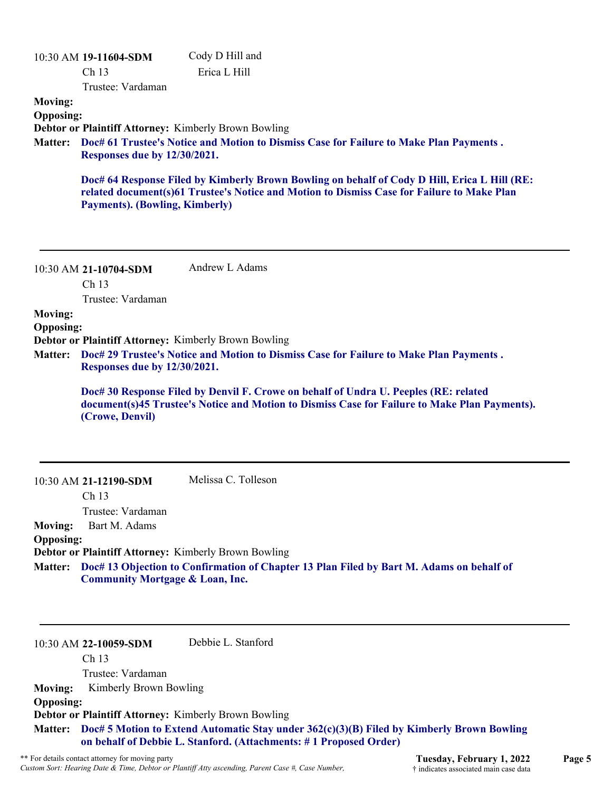|                  | 10:30 AM 19-11604-SDM                                          | Cody D Hill and                                                                                                                                                                            |
|------------------|----------------------------------------------------------------|--------------------------------------------------------------------------------------------------------------------------------------------------------------------------------------------|
|                  | Ch <sub>13</sub>                                               | Erica L Hill                                                                                                                                                                               |
|                  | Trustee: Vardaman                                              |                                                                                                                                                                                            |
| <b>Moving:</b>   |                                                                |                                                                                                                                                                                            |
| <b>Opposing:</b> |                                                                |                                                                                                                                                                                            |
|                  |                                                                | <b>Debtor or Plaintiff Attorney: Kimberly Brown Bowling</b>                                                                                                                                |
| <b>Matter:</b>   | <b>Responses due by 12/30/2021.</b>                            | Doc# 61 Trustee's Notice and Motion to Dismiss Case for Failure to Make Plan Payments.                                                                                                     |
|                  | <b>Payments). (Bowling, Kimberly)</b>                          | Doc# 64 Response Filed by Kimberly Brown Bowling on behalf of Cody D Hill, Erica L Hill (RE:<br>related document(s)61 Trustee's Notice and Motion to Dismiss Case for Failure to Make Plan |
|                  | 10:30 AM 21-10704-SDM<br>Ch <sub>13</sub><br>Trustee: Vardaman | Andrew L Adams                                                                                                                                                                             |
| <b>Moving:</b>   |                                                                |                                                                                                                                                                                            |
| <b>Opposing:</b> |                                                                |                                                                                                                                                                                            |
|                  |                                                                | Debtor or Plaintiff Attorney: Kimberly Brown Bowling                                                                                                                                       |
| <b>Matter:</b>   | <b>Responses due by 12/30/2021.</b>                            | Doc# 29 Trustee's Notice and Motion to Dismiss Case for Failure to Make Plan Payments.                                                                                                     |
|                  | (Crowe, Denvil)                                                | Doc# 30 Response Filed by Denvil F. Crowe on behalf of Undra U. Peeples (RE: related<br>document(s)45 Trustee's Notice and Motion to Dismiss Case for Failure to Make Plan Payments).      |
|                  | 10:30 AM 21-12190-SDM<br>Ch <sub>13</sub>                      | Melissa C. Tolleson                                                                                                                                                                        |
|                  | Trustee: Vardaman                                              |                                                                                                                                                                                            |
| <b>Moving:</b>   | Bart M. Adams                                                  |                                                                                                                                                                                            |
| <b>Opposing:</b> |                                                                |                                                                                                                                                                                            |
|                  |                                                                | Debtor or Plaintiff Attorney: Kimberly Brown Bowling                                                                                                                                       |
| <b>Matter:</b>   | <b>Community Mortgage &amp; Loan, Inc.</b>                     | Doc# 13 Objection to Confirmation of Chapter 13 Plan Filed by Bart M. Adams on behalf of                                                                                                   |
|                  |                                                                |                                                                                                                                                                                            |
|                  | 10:30 AM 22-10059-SDM<br>Ch 13                                 | Debbie L. Stanford                                                                                                                                                                         |
|                  | Trustee: Vardaman                                              |                                                                                                                                                                                            |
| <b>Moving:</b>   | Kimberly Brown Bowling                                         |                                                                                                                                                                                            |
| <b>Opposing:</b> |                                                                |                                                                                                                                                                                            |
|                  |                                                                | Debtor or Plaintiff Attorney: Kimberly Brown Bowling                                                                                                                                       |
|                  |                                                                |                                                                                                                                                                                            |

**Doc# 5 Motion to Extend Automatic Stay under 362(c)(3)(B) Filed by Kimberly Brown Bowling Matter: on behalf of Debbie L. Stanford. (Attachments: # 1 Proposed Order)**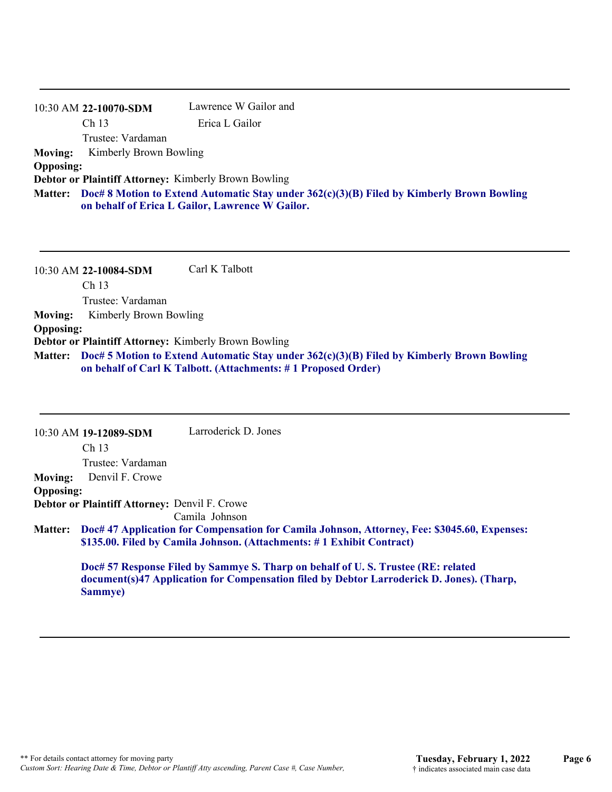|                  | 10:30 AM 22-10070-SDM                                       | Lawrence W Gailor and                                                                                                                                |
|------------------|-------------------------------------------------------------|------------------------------------------------------------------------------------------------------------------------------------------------------|
|                  | Ch <sub>13</sub>                                            | Erica L Gailor                                                                                                                                       |
|                  | Trustee: Vardaman                                           |                                                                                                                                                      |
| <b>Moving:</b>   | Kimberly Brown Bowling                                      |                                                                                                                                                      |
| <b>Opposing:</b> |                                                             |                                                                                                                                                      |
|                  | <b>Debtor or Plaintiff Attorney: Kimberly Brown Bowling</b> |                                                                                                                                                      |
|                  |                                                             | Matter: Doc# 8 Motion to Extend Automatic Stay under 362(c)(3)(B) Filed by Kimberly Brown Bowling<br>on behalf of Erica L Gailor, Lawrence W Gailor. |

10:30 AM **22-10084-SDM**  Ch 13 Trustee: Vardaman Carl K Talbott **Moving:** Kimberly Brown Bowling **Opposing: Debtor or Plaintiff Attorney:** Kimberly Brown Bowling **Doc# 5 Motion to Extend Automatic Stay under 362(c)(3)(B) Filed by Kimberly Brown Bowling Matter: on behalf of Carl K Talbott. (Attachments: # 1 Proposed Order)**

|                  | 10:30 AM 19-12089-SDM                         | Larroderick D. Jones                                                                                                                                                          |
|------------------|-----------------------------------------------|-------------------------------------------------------------------------------------------------------------------------------------------------------------------------------|
|                  | Ch <sub>13</sub>                              |                                                                                                                                                                               |
|                  | Trustee: Vardaman                             |                                                                                                                                                                               |
| <b>Moving:</b>   | Denvil F. Crowe                               |                                                                                                                                                                               |
| <b>Opposing:</b> |                                               |                                                                                                                                                                               |
|                  | Debtor or Plaintiff Attorney: Denvil F. Crowe |                                                                                                                                                                               |
|                  |                                               | Camila Johnson                                                                                                                                                                |
| <b>Matter:</b>   |                                               | Doc# 47 Application for Compensation for Camila Johnson, Attorney, Fee: \$3045.60, Expenses:<br>\$135.00. Filed by Camila Johnson. (Attachments: #1 Exhibit Contract)         |
|                  | Sammye)                                       | Doc# 57 Response Filed by Sammye S. Tharp on behalf of U.S. Trustee (RE: related<br>document(s)47 Application for Compensation filed by Debtor Larroderick D. Jones). (Tharp, |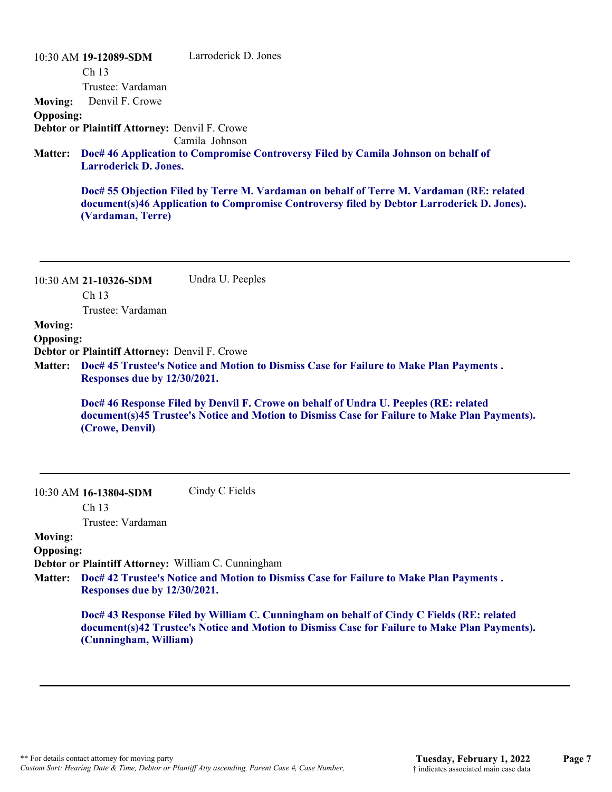10:30 AM **19-12089-SDM**  Ch 13 Trustee: Vardaman Larroderick D. Jones **Moving:** Denvil F. Crowe **Opposing: Debtor or Plaintiff Attorney:** Denvil F. Crowe Camila Johnson **Doc# 46 Application to Compromise Controversy Filed by Camila Johnson on behalf of Matter: Larroderick D. Jones. Doc# 55 Objection Filed by Terre M. Vardaman on behalf of Terre M. Vardaman (RE: related document(s)46 Application to Compromise Controversy filed by Debtor Larroderick D. Jones). (Vardaman, Terre)** 10:30 AM **21-10326-SDM**  Ch 13 Trustee: Vardaman Undra U. Peeples **Moving: Opposing: Debtor or Plaintiff Attorney:** Denvil F. Crowe **Doc# 45 Trustee's Notice and Motion to Dismiss Case for Failure to Make Plan Payments . Matter: Responses due by 12/30/2021. Doc# 46 Response Filed by Denvil F. Crowe on behalf of Undra U. Peeples (RE: related document(s)45 Trustee's Notice and Motion to Dismiss Case for Failure to Make Plan Payments). (Crowe, Denvil)** 10:30 AM **16-13804-SDM**  Ch 13 Trustee: Vardaman Cindy C Fields **Moving: Opposing: Debtor or Plaintiff Attorney:** William C. Cunningham **Doc# 42 Trustee's Notice and Motion to Dismiss Case for Failure to Make Plan Payments . Matter: Responses due by 12/30/2021. Doc# 43 Response Filed by William C. Cunningham on behalf of Cindy C Fields (RE: related document(s)42 Trustee's Notice and Motion to Dismiss Case for Failure to Make Plan Payments). (Cunningham, William)**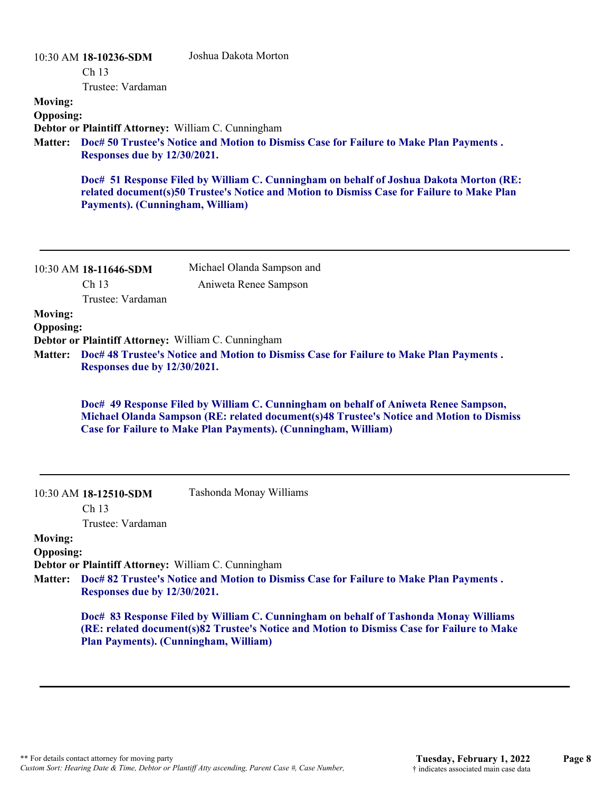|                                    | 10:30 AM 18-10236-SDM                               | Joshua Dakota Morton                                                                                                                                                                                                                                     |
|------------------------------------|-----------------------------------------------------|----------------------------------------------------------------------------------------------------------------------------------------------------------------------------------------------------------------------------------------------------------|
|                                    | Ch <sub>13</sub>                                    |                                                                                                                                                                                                                                                          |
| <b>Moving:</b>                     | Trustee: Vardaman                                   |                                                                                                                                                                                                                                                          |
| <b>Opposing:</b>                   |                                                     |                                                                                                                                                                                                                                                          |
|                                    | Debtor or Plaintiff Attorney: William C. Cunningham |                                                                                                                                                                                                                                                          |
| <b>Matter:</b>                     | Responses due by 12/30/2021.                        | Doc# 50 Trustee's Notice and Motion to Dismiss Case for Failure to Make Plan Payments.                                                                                                                                                                   |
|                                    | Payments). (Cunningham, William)                    | Doc# 51 Response Filed by William C. Cunningham on behalf of Joshua Dakota Morton (RE:<br>related document(s)50 Trustee's Notice and Motion to Dismiss Case for Failure to Make Plan                                                                     |
|                                    | 10:30 AM 18-11646-SDM                               | Michael Olanda Sampson and                                                                                                                                                                                                                               |
|                                    | Ch <sub>13</sub>                                    | Aniweta Renee Sampson                                                                                                                                                                                                                                    |
| <b>Moving:</b>                     | Trustee: Vardaman                                   |                                                                                                                                                                                                                                                          |
| <b>Opposing:</b>                   |                                                     |                                                                                                                                                                                                                                                          |
|                                    | Debtor or Plaintiff Attorney: William C. Cunningham |                                                                                                                                                                                                                                                          |
| <b>Matter:</b>                     | Responses due by 12/30/2021.                        | Doc# 48 Trustee's Notice and Motion to Dismiss Case for Failure to Make Plan Payments.                                                                                                                                                                   |
|                                    |                                                     | Doc# 49 Response Filed by William C. Cunningham on behalf of Aniweta Renee Sampson,<br>Michael Olanda Sampson (RE: related document(s)48 Trustee's Notice and Motion to Dismiss<br><b>Case for Failure to Make Plan Payments). (Cunningham, William)</b> |
|                                    | 10:30 AM 18-12510-SDM<br>Ch 13                      | Tashonda Monay Williams                                                                                                                                                                                                                                  |
|                                    | Trustee: Vardaman                                   |                                                                                                                                                                                                                                                          |
| <b>Moving:</b><br><b>Opposing:</b> |                                                     |                                                                                                                                                                                                                                                          |
|                                    | Debtor or Plaintiff Attorney: William C. Cunningham |                                                                                                                                                                                                                                                          |

**Doc# 82 Trustee's Notice and Motion to Dismiss Case for Failure to Make Plan Payments . Matter: Responses due by 12/30/2021.**

**Doc# 83 Response Filed by William C. Cunningham on behalf of Tashonda Monay Williams (RE: related document(s)82 Trustee's Notice and Motion to Dismiss Case for Failure to Make Plan Payments). (Cunningham, William)**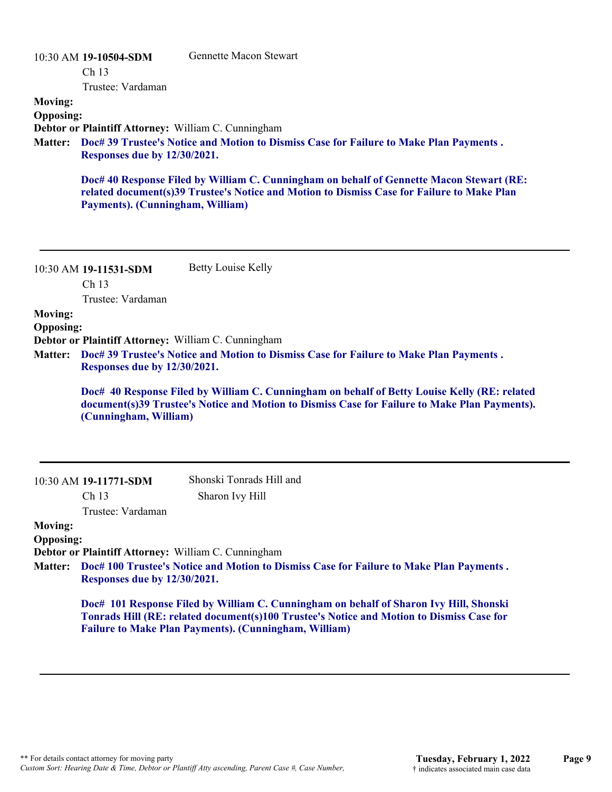## 10:30 AM **19-10504-SDM**  Ch 13 Trustee: Vardaman Gennette Macon Stewart **Moving: Opposing: Debtor or Plaintiff Attorney:** William C. Cunningham **Doc# 39 Trustee's Notice and Motion to Dismiss Case for Failure to Make Plan Payments . Matter: Responses due by 12/30/2021. Doc# 40 Response Filed by William C. Cunningham on behalf of Gennette Macon Stewart (RE: related document(s)39 Trustee's Notice and Motion to Dismiss Case for Failure to Make Plan Payments). (Cunningham, William)** 10:30 AM **19-11531-SDM**  Ch 13 Trustee: Vardaman Betty Louise Kelly

#### **Moving:**

### **Opposing:**

**Debtor or Plaintiff Attorney:** William C. Cunningham

**Doc# 39 Trustee's Notice and Motion to Dismiss Case for Failure to Make Plan Payments . Matter: Responses due by 12/30/2021.**

**Doc# 40 Response Filed by William C. Cunningham on behalf of Betty Louise Kelly (RE: related document(s)39 Trustee's Notice and Motion to Dismiss Case for Failure to Make Plan Payments). (Cunningham, William)**

| 10:30 AM 19-11771-SDM |
|-----------------------|
| Ch 13                 |

Shonski Tonrads Hill and Sharon Ivy Hill

Trustee: Vardaman

#### **Moving: Opposing:**

**Debtor or Plaintiff Attorney:** William C. Cunningham

**Doc# 100 Trustee's Notice and Motion to Dismiss Case for Failure to Make Plan Payments . Matter: Responses due by 12/30/2021.**

**Doc# 101 Response Filed by William C. Cunningham on behalf of Sharon Ivy Hill, Shonski Tonrads Hill (RE: related document(s)100 Trustee's Notice and Motion to Dismiss Case for Failure to Make Plan Payments). (Cunningham, William)**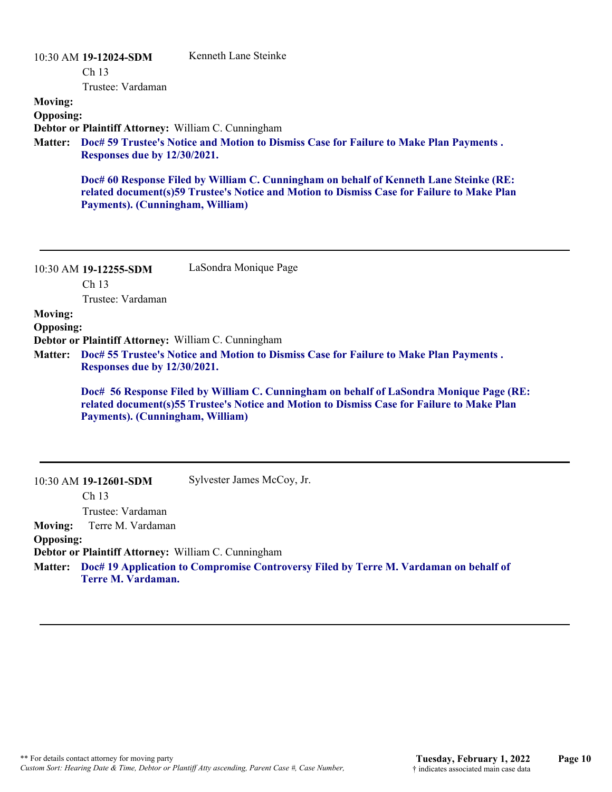| <b>Moving:</b><br><b>Opposing:</b> | 10:30 AM 19-12024-SDM<br>Ch 13<br>Trustee: Vardaman<br>Debtor or Plaintiff Attorney: William C. Cunningham | Kenneth Lane Steinke                                                                                                                                                                  |
|------------------------------------|------------------------------------------------------------------------------------------------------------|---------------------------------------------------------------------------------------------------------------------------------------------------------------------------------------|
| <b>Matter:</b>                     | Responses due by 12/30/2021.                                                                               | Doc# 59 Trustee's Notice and Motion to Dismiss Case for Failure to Make Plan Payments.                                                                                                |
|                                    | Payments). (Cunningham, William)                                                                           | Doc# 60 Response Filed by William C. Cunningham on behalf of Kenneth Lane Steinke (RE:<br>related document(s)59 Trustee's Notice and Motion to Dismiss Case for Failure to Make Plan  |
|                                    | 10:30 AM 19-12255-SDM<br>Ch <sub>13</sub>                                                                  | LaSondra Monique Page                                                                                                                                                                 |
| <b>Moving:</b><br><b>Opposing:</b> | Trustee: Vardaman<br>Debtor or Plaintiff Attorney: William C. Cunningham                                   |                                                                                                                                                                                       |
| <b>Matter:</b>                     | Responses due by 12/30/2021.                                                                               | Doc# 55 Trustee's Notice and Motion to Dismiss Case for Failure to Make Plan Payments.                                                                                                |
|                                    | Payments). (Cunningham, William)                                                                           | Doc# 56 Response Filed by William C. Cunningham on behalf of LaSondra Monique Page (RE:<br>related document(s)55 Trustee's Notice and Motion to Dismiss Case for Failure to Make Plan |
|                                    | 10:30 AM 19-12601-SDM<br>Ch 13<br>Trustee: Vardaman                                                        | Sylvester James McCoy, Jr.                                                                                                                                                            |
| <b>Moving:</b><br><b>Opposing:</b> | Terre M. Vardaman                                                                                          |                                                                                                                                                                                       |
|                                    | Debtor or Plaintiff Attorney: William C. Cunningham                                                        |                                                                                                                                                                                       |
| <b>Matter:</b>                     | Terre M. Vardaman.                                                                                         | Doc# 19 Application to Compromise Controversy Filed by Terre M. Vardaman on behalf of                                                                                                 |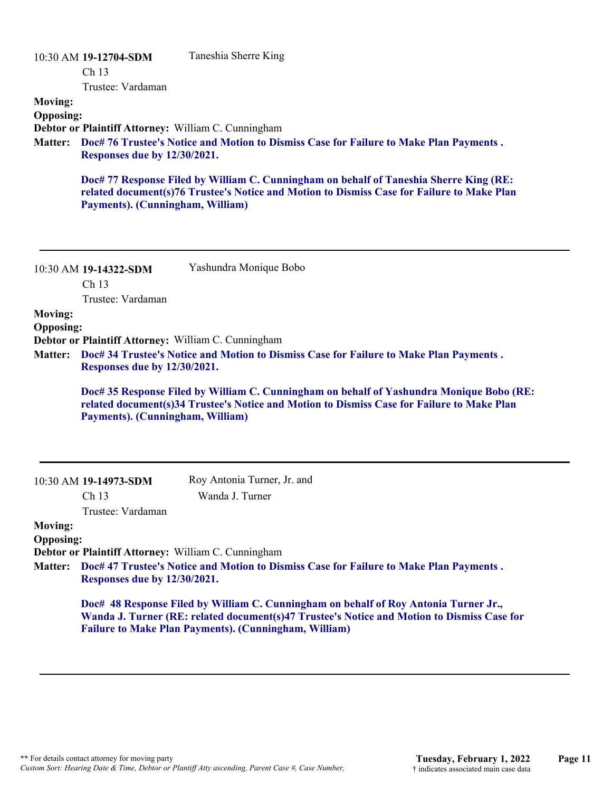|                  | 10:30 AM 19-12704-SDM<br>Ch <sub>13</sub>                                           | Taneshia Sherre King                                                                                                                                                                                                                               |
|------------------|-------------------------------------------------------------------------------------|----------------------------------------------------------------------------------------------------------------------------------------------------------------------------------------------------------------------------------------------------|
|                  | Trustee: Vardaman                                                                   |                                                                                                                                                                                                                                                    |
| <b>Moving:</b>   |                                                                                     |                                                                                                                                                                                                                                                    |
| <b>Opposing:</b> |                                                                                     |                                                                                                                                                                                                                                                    |
|                  | Debtor or Plaintiff Attorney: William C. Cunningham                                 |                                                                                                                                                                                                                                                    |
| Matter:          | <b>Responses due by 12/30/2021.</b>                                                 | Doc# 76 Trustee's Notice and Motion to Dismiss Case for Failure to Make Plan Payments.                                                                                                                                                             |
|                  | Payments). (Cunningham, William)                                                    | Doc# 77 Response Filed by William C. Cunningham on behalf of Taneshia Sherre King (RE:<br>related document(s)76 Trustee's Notice and Motion to Dismiss Case for Failure to Make Plan                                                               |
|                  | 10:30 AM 19-14322-SDM<br>Ch 13                                                      | Yashundra Monique Bobo                                                                                                                                                                                                                             |
|                  | Trustee: Vardaman                                                                   |                                                                                                                                                                                                                                                    |
| <b>Moving:</b>   |                                                                                     |                                                                                                                                                                                                                                                    |
| <b>Opposing:</b> |                                                                                     |                                                                                                                                                                                                                                                    |
|                  | Debtor or Plaintiff Attorney: William C. Cunningham                                 |                                                                                                                                                                                                                                                    |
| <b>Matter:</b>   | <b>Responses due by 12/30/2021.</b>                                                 | Doc# 34 Trustee's Notice and Motion to Dismiss Case for Failure to Make Plan Payments.                                                                                                                                                             |
|                  |                                                                                     |                                                                                                                                                                                                                                                    |
|                  | Payments). (Cunningham, William)                                                    | Doc# 35 Response Filed by William C. Cunningham on behalf of Yashundra Monique Bobo (RE:<br>related document(s)34 Trustee's Notice and Motion to Dismiss Case for Failure to Make Plan                                                             |
|                  |                                                                                     |                                                                                                                                                                                                                                                    |
|                  | 10:30 AM 19-14973-SDM                                                               | Roy Antonia Turner, Jr. and                                                                                                                                                                                                                        |
|                  | Ch <sub>13</sub>                                                                    | Wanda J. Turner                                                                                                                                                                                                                                    |
|                  | Trustee: Vardaman                                                                   |                                                                                                                                                                                                                                                    |
| <b>Moving:</b>   |                                                                                     |                                                                                                                                                                                                                                                    |
| <b>Opposing:</b> |                                                                                     |                                                                                                                                                                                                                                                    |
| Matter:          | Debtor or Plaintiff Attorney: William C. Cunningham<br>Responses due by 12/30/2021. | Doc# 47 Trustee's Notice and Motion to Dismiss Case for Failure to Make Plan Payments.                                                                                                                                                             |
|                  |                                                                                     | Doc# 48 Response Filed by William C. Cunningham on behalf of Roy Antonia Turner Jr.,<br>Wanda J. Turner (RE: related document(s)47 Trustee's Notice and Motion to Dismiss Case for<br><b>Failure to Make Plan Payments). (Cunningham, William)</b> |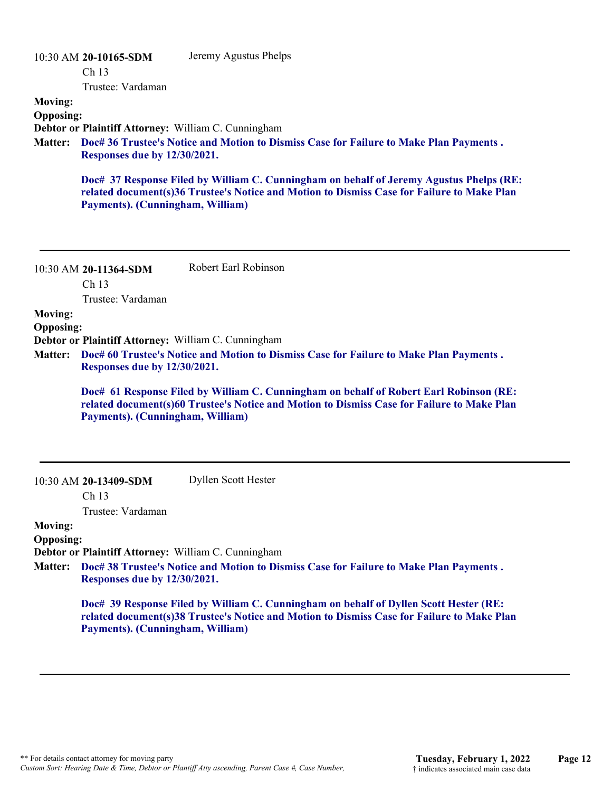|                                                      | $10:30$ AM 20-10165-SDM<br>Ch <sub>13</sub><br>Trustee: Vardaman                                                        | Jeremy Agustus Phelps                                                                                                                                                                                                                                                           |
|------------------------------------------------------|-------------------------------------------------------------------------------------------------------------------------|---------------------------------------------------------------------------------------------------------------------------------------------------------------------------------------------------------------------------------------------------------------------------------|
| <b>Moving:</b><br><b>Opposing:</b><br><b>Matter:</b> | Debtor or Plaintiff Attorney: William C. Cunningham<br>Responses due by 12/30/2021.<br>Payments). (Cunningham, William) | Doc# 36 Trustee's Notice and Motion to Dismiss Case for Failure to Make Plan Payments.<br>Doc# 37 Response Filed by William C. Cunningham on behalf of Jeremy Agustus Phelps (RE:<br>related document(s)36 Trustee's Notice and Motion to Dismiss Case for Failure to Make Plan |
|                                                      | $10:30$ AM 20-11364-SDM<br>Ch 13                                                                                        | Robert Earl Robinson                                                                                                                                                                                                                                                            |

Trustee: Vardaman

## **Moving:**

**Opposing:**

**Debtor or Plaintiff Attorney:** William C. Cunningham

**Doc# 60 Trustee's Notice and Motion to Dismiss Case for Failure to Make Plan Payments . Matter: Responses due by 12/30/2021.**

> **Doc# 61 Response Filed by William C. Cunningham on behalf of Robert Earl Robinson (RE: related document(s)60 Trustee's Notice and Motion to Dismiss Case for Failure to Make Plan Payments). (Cunningham, William)**

10:30 AM **20-13409-SDM**  Dyllen Scott Hester

Ch 13

Trustee: Vardaman

## **Moving:**

**Opposing:**

**Debtor or Plaintiff Attorney:** William C. Cunningham

**Doc# 38 Trustee's Notice and Motion to Dismiss Case for Failure to Make Plan Payments . Matter: Responses due by 12/30/2021.**

> **Doc# 39 Response Filed by William C. Cunningham on behalf of Dyllen Scott Hester (RE: related document(s)38 Trustee's Notice and Motion to Dismiss Case for Failure to Make Plan Payments). (Cunningham, William)**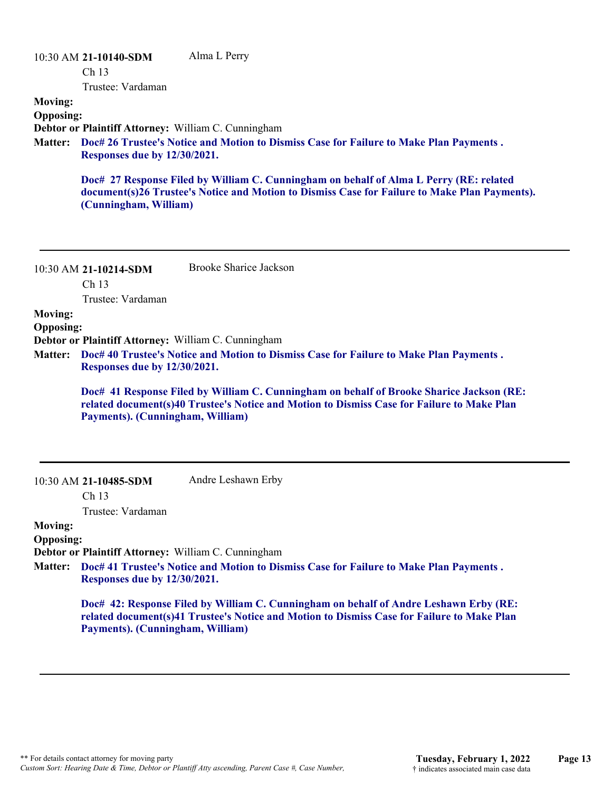## 10:30 AM **21-10140-SDM**  Ch 13 Trustee: Vardaman Alma L Perry **Moving: Opposing: Debtor or Plaintiff Attorney:** William C. Cunningham **Doc# 26 Trustee's Notice and Motion to Dismiss Case for Failure to Make Plan Payments . Matter: Responses due by 12/30/2021. Doc# 27 Response Filed by William C. Cunningham on behalf of Alma L Perry (RE: related document(s)26 Trustee's Notice and Motion to Dismiss Case for Failure to Make Plan Payments). (Cunningham, William)**

| 10:30 AM 21-10214-SDM | Brooke Sharice Jackson |
|-----------------------|------------------------|
|                       |                        |

Ch 13

Trustee: Vardaman

## **Moving:**

**Opposing:**

**Debtor or Plaintiff Attorney:** William C. Cunningham

**Doc# 40 Trustee's Notice and Motion to Dismiss Case for Failure to Make Plan Payments . Matter: Responses due by 12/30/2021.**

**Doc# 41 Response Filed by William C. Cunningham on behalf of Brooke Sharice Jackson (RE: related document(s)40 Trustee's Notice and Motion to Dismiss Case for Failure to Make Plan Payments). (Cunningham, William)**

10:30 AM **21-10485-SDM** 

Ch 13

Trustee: Vardaman

## **Moving:**

**Opposing:**

**Debtor or Plaintiff Attorney:** William C. Cunningham

**Doc# 41 Trustee's Notice and Motion to Dismiss Case for Failure to Make Plan Payments . Matter: Responses due by 12/30/2021.**

Andre Leshawn Erby

**Doc# 42: Response Filed by William C. Cunningham on behalf of Andre Leshawn Erby (RE: related document(s)41 Trustee's Notice and Motion to Dismiss Case for Failure to Make Plan Payments). (Cunningham, William)**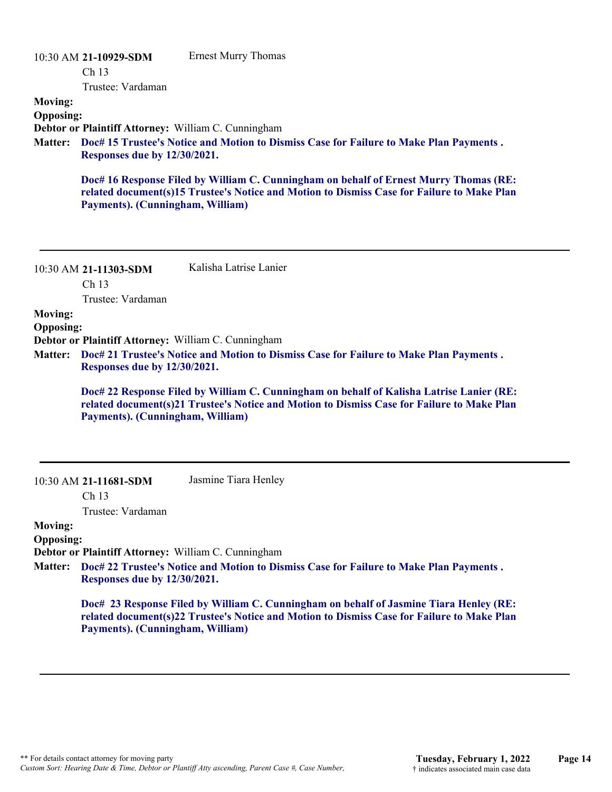|                  | 10:30 AM 21-10929-SDM                               | <b>Ernest Murry Thomas</b>                                                                                                                                                             |
|------------------|-----------------------------------------------------|----------------------------------------------------------------------------------------------------------------------------------------------------------------------------------------|
|                  | Ch <sub>13</sub>                                    |                                                                                                                                                                                        |
|                  | Trustee: Vardaman                                   |                                                                                                                                                                                        |
| <b>Moving:</b>   |                                                     |                                                                                                                                                                                        |
| <b>Opposing:</b> |                                                     |                                                                                                                                                                                        |
|                  | Debtor or Plaintiff Attorney: William C. Cunningham |                                                                                                                                                                                        |
| <b>Matter:</b>   | <b>Responses due by 12/30/2021.</b>                 | Doc# 15 Trustee's Notice and Motion to Dismiss Case for Failure to Make Plan Payments.                                                                                                 |
|                  | Payments). (Cunningham, William)                    | Doc# 16 Response Filed by William C. Cunningham on behalf of Ernest Murry Thomas (RE:<br>related document(s)15 Trustee's Notice and Motion to Dismiss Case for Failure to Make Plan    |
|                  | 10:30 AM 21-11303-SDM<br>Ch 13                      | Kalisha Latrise Lanier                                                                                                                                                                 |
|                  | Trustee: Vardaman                                   |                                                                                                                                                                                        |
| <b>Moving:</b>   |                                                     |                                                                                                                                                                                        |
| <b>Opposing:</b> |                                                     |                                                                                                                                                                                        |
|                  | Debtor or Plaintiff Attorney: William C. Cunningham |                                                                                                                                                                                        |
| <b>Matter:</b>   | <b>Responses due by 12/30/2021.</b>                 | Doc# 21 Trustee's Notice and Motion to Dismiss Case for Failure to Make Plan Payments.                                                                                                 |
|                  | Payments). (Cunningham, William)                    | Doc# 22 Response Filed by William C. Cunningham on behalf of Kalisha Latrise Lanier (RE:<br>related document(s)21 Trustee's Notice and Motion to Dismiss Case for Failure to Make Plan |
|                  |                                                     |                                                                                                                                                                                        |

Jasmine Tiara Henley

Ch 13

Trustee: Vardaman

### **Moving: Opposing:**

**Debtor or Plaintiff Attorney:** William C. Cunningham

**Doc# 22 Trustee's Notice and Motion to Dismiss Case for Failure to Make Plan Payments . Matter: Responses due by 12/30/2021.**

> **Doc# 23 Response Filed by William C. Cunningham on behalf of Jasmine Tiara Henley (RE: related document(s)22 Trustee's Notice and Motion to Dismiss Case for Failure to Make Plan Payments). (Cunningham, William)**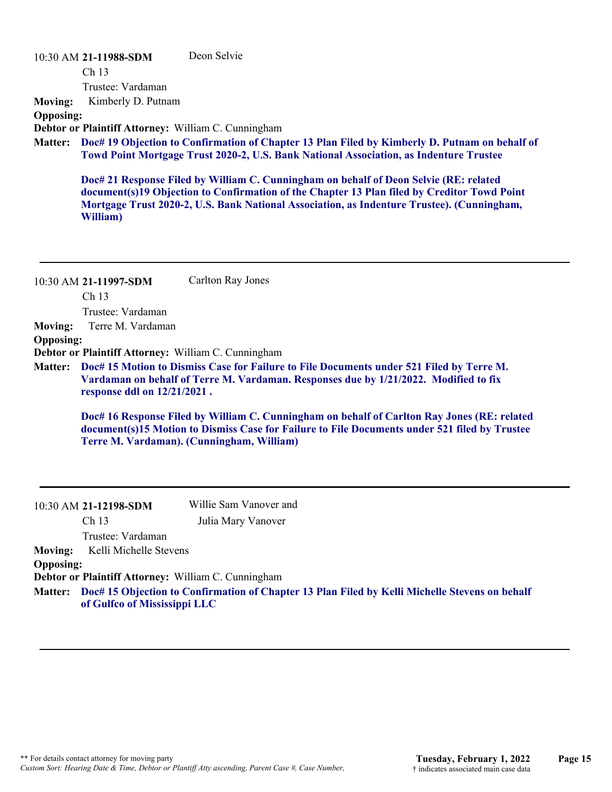#### 10:30 AM **21-11988-SDM**

Deon Selvie

Ch 13

Trustee: Vardaman

**Moving:** Kimberly D. Putnam

## **Opposing:**

**Debtor or Plaintiff Attorney:** William C. Cunningham

**Doc# 19 Objection to Confirmation of Chapter 13 Plan Filed by Kimberly D. Putnam on behalf of Matter: Towd Point Mortgage Trust 2020-2, U.S. Bank National Association, as Indenture Trustee**

**Doc# 21 Response Filed by William C. Cunningham on behalf of Deon Selvie (RE: related document(s)19 Objection to Confirmation of the Chapter 13 Plan filed by Creditor Towd Point Mortgage Trust 2020-2, U.S. Bank National Association, as Indenture Trustee). (Cunningham, William)**

|                  | 10:30 AM 21-11997-SDM                                                                                                                                                                                              | Carlton Ray Jones                                                                                                                                                                            |
|------------------|--------------------------------------------------------------------------------------------------------------------------------------------------------------------------------------------------------------------|----------------------------------------------------------------------------------------------------------------------------------------------------------------------------------------------|
|                  | Ch <sub>13</sub>                                                                                                                                                                                                   |                                                                                                                                                                                              |
|                  | Trustee: Vardaman                                                                                                                                                                                                  |                                                                                                                                                                                              |
| <b>Moving:</b>   | Terre M. Vardaman                                                                                                                                                                                                  |                                                                                                                                                                                              |
| <b>Opposing:</b> |                                                                                                                                                                                                                    |                                                                                                                                                                                              |
|                  | Debtor or Plaintiff Attorney: William C. Cunningham                                                                                                                                                                |                                                                                                                                                                                              |
| <b>Matter:</b>   | Doc# 15 Motion to Dismiss Case for Failure to File Documents under 521 Filed by Terre M.<br>Vardaman on behalf of Terre M. Vardaman. Responses due by 1/21/2022. Modified to fix<br>response ddl on $12/21/2021$ . |                                                                                                                                                                                              |
|                  |                                                                                                                                                                                                                    | Doc# 16 Response Filed by William C. Cunningham on behalf of Carlton Ray Jones (RE: related<br>document(s)15 Motion to Dismiss Case for Failure to File Documents under 521 filed by Trustee |

|                  | 10:30 AM 21-12198-SDM                               | Willie Sam Vanover and                                                                                 |
|------------------|-----------------------------------------------------|--------------------------------------------------------------------------------------------------------|
|                  | Ch <sub>13</sub>                                    | Julia Mary Vanover                                                                                     |
|                  | Trustee: Vardaman                                   |                                                                                                        |
| <b>Moving:</b>   | Kelli Michelle Stevens                              |                                                                                                        |
| <b>Opposing:</b> |                                                     |                                                                                                        |
|                  | Debtor or Plaintiff Attorney: William C. Cunningham |                                                                                                        |
|                  | of Gulfco of Mississippi LLC                        | Matter: Doc# 15 Objection to Confirmation of Chapter 13 Plan Filed by Kelli Michelle Stevens on behalf |

**Terre M. Vardaman). (Cunningham, William)**

by **Trustee**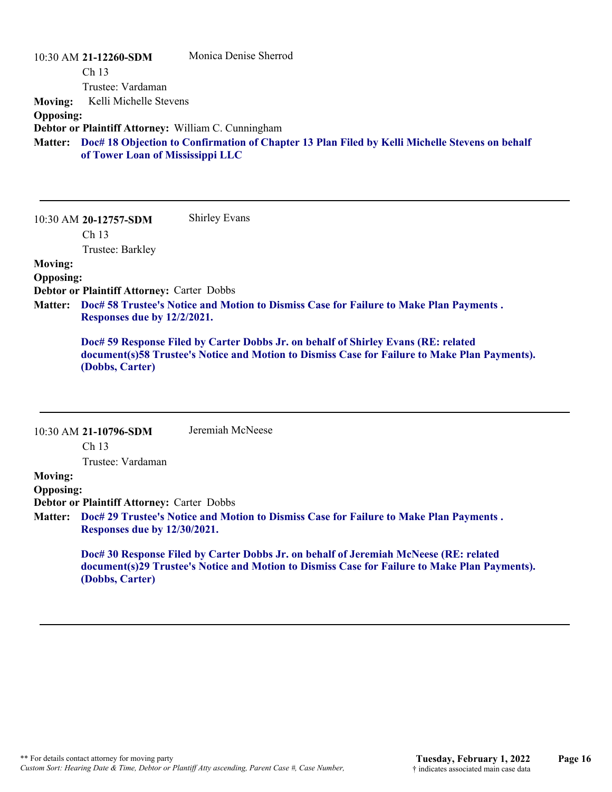|                  | 10:30 AM 21-12260-SDM                               | Monica Denise Sherrod                                                                          |
|------------------|-----------------------------------------------------|------------------------------------------------------------------------------------------------|
|                  | Ch <sub>13</sub>                                    |                                                                                                |
|                  | Trustee: Vardaman                                   |                                                                                                |
| <b>Moving:</b>   | Kelli Michelle Stevens                              |                                                                                                |
| <b>Opposing:</b> |                                                     |                                                                                                |
|                  | Debtor or Plaintiff Attorney: William C. Cunningham |                                                                                                |
| <b>Matter:</b>   | of Tower Loan of Mississippi LLC                    | Doc# 18 Objection to Confirmation of Chapter 13 Plan Filed by Kelli Michelle Stevens on behalf |

10:30 AM **20-12757-SDM**  Ch 13 Trustee: Barkley Shirley Evans **Moving: Opposing: Debtor or Plaintiff Attorney:** Carter Dobbs

**Doc# 58 Trustee's Notice and Motion to Dismiss Case for Failure to Make Plan Payments . Matter: Responses due by 12/2/2021.**

**Doc# 59 Response Filed by Carter Dobbs Jr. on behalf of Shirley Evans (RE: related document(s)58 Trustee's Notice and Motion to Dismiss Case for Failure to Make Plan Payments). (Dobbs, Carter)**

|                  | 10:30 AM 21-10796-SDM                                                                                                                                                                                     | Jeremiah McNeese                                                                               |
|------------------|-----------------------------------------------------------------------------------------------------------------------------------------------------------------------------------------------------------|------------------------------------------------------------------------------------------------|
|                  | Ch <sub>13</sub>                                                                                                                                                                                          |                                                                                                |
|                  | Trustee: Vardaman                                                                                                                                                                                         |                                                                                                |
| <b>Moving:</b>   |                                                                                                                                                                                                           |                                                                                                |
| <b>Opposing:</b> |                                                                                                                                                                                                           |                                                                                                |
|                  | <b>Debtor or Plaintiff Attorney: Carter Dobbs</b>                                                                                                                                                         |                                                                                                |
|                  |                                                                                                                                                                                                           | Matter: Doc# 29 Trustee's Notice and Motion to Dismiss Case for Failure to Make Plan Payments. |
|                  | Responses due by 12/30/2021.                                                                                                                                                                              |                                                                                                |
|                  | Doc# 30 Response Filed by Carter Dobbs Jr. on behalf of Jeremiah McNeese (RE: related<br>document(s)29 Trustee's Notice and Motion to Dismiss Case for Failure to Make Plan Payments).<br>(Dobbs, Carter) |                                                                                                |
|                  |                                                                                                                                                                                                           |                                                                                                |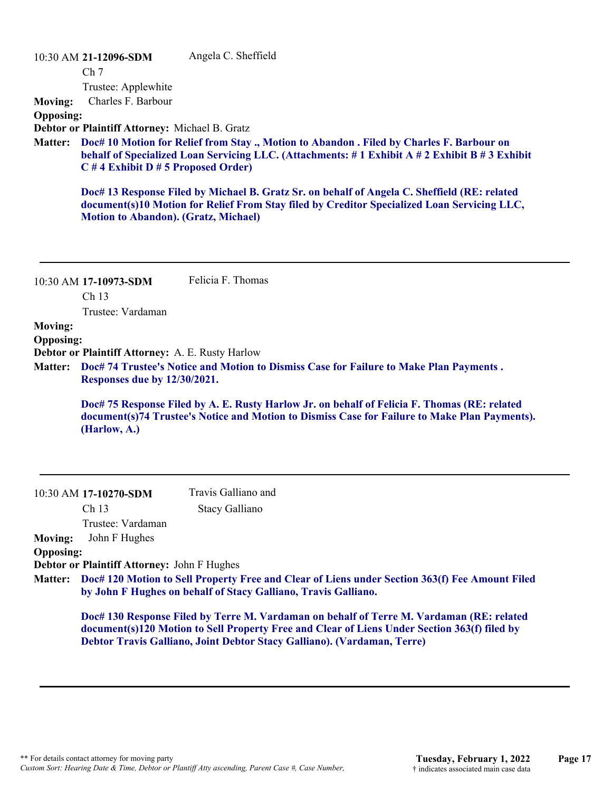10:30 AM **21-12096-SDM**  Ch 7 Trustee: Applewhite Angela C. Sheffield **Moving:** Charles F. Barbour **Opposing: Debtor or Plaintiff Attorney:** Michael B. Gratz **Doc# 10 Motion for Relief from Stay ., Motion to Abandon . Filed by Charles F. Barbour on Matter: behalf of Specialized Loan Servicing LLC. (Attachments: # 1 Exhibit A # 2 Exhibit B # 3 Exhibit C # 4 Exhibit D # 5 Proposed Order) Doc# 13 Response Filed by Michael B. Gratz Sr. on behalf of Angela C. Sheffield (RE: related**

**document(s)10 Motion for Relief From Stay filed by Creditor Specialized Loan Servicing LLC, Motion to Abandon). (Gratz, Michael)**

10:30 AM **17-10973-SDM**  Ch 13 Trustee: Vardaman Felicia F. Thomas

#### **Moving:**

#### **Opposing:**

**Debtor or Plaintiff Attorney:** A. E. Rusty Harlow

**Doc# 74 Trustee's Notice and Motion to Dismiss Case for Failure to Make Plan Payments . Matter: Responses due by 12/30/2021.**

**Doc# 75 Response Filed by A. E. Rusty Harlow Jr. on behalf of Felicia F. Thomas (RE: related document(s)74 Trustee's Notice and Motion to Dismiss Case for Failure to Make Plan Payments). (Harlow, A.)**

| $10:30$ AM 17-10270-SDM | Travis Galliano and |
|-------------------------|---------------------|
| Ch <sub>13</sub>        | Stacy Galliano      |

Trustee: Vardaman

**Moving:** John F Hughes

### **Opposing:**

**Debtor or Plaintiff Attorney:** John F Hughes

**Doc# 120 Motion to Sell Property Free and Clear of Liens under Section 363(f) Fee Amount Filed Matter: by John F Hughes on behalf of Stacy Galliano, Travis Galliano.**

**Doc# 130 Response Filed by Terre M. Vardaman on behalf of Terre M. Vardaman (RE: related document(s)120 Motion to Sell Property Free and Clear of Liens Under Section 363(f) filed by Debtor Travis Galliano, Joint Debtor Stacy Galliano). (Vardaman, Terre)**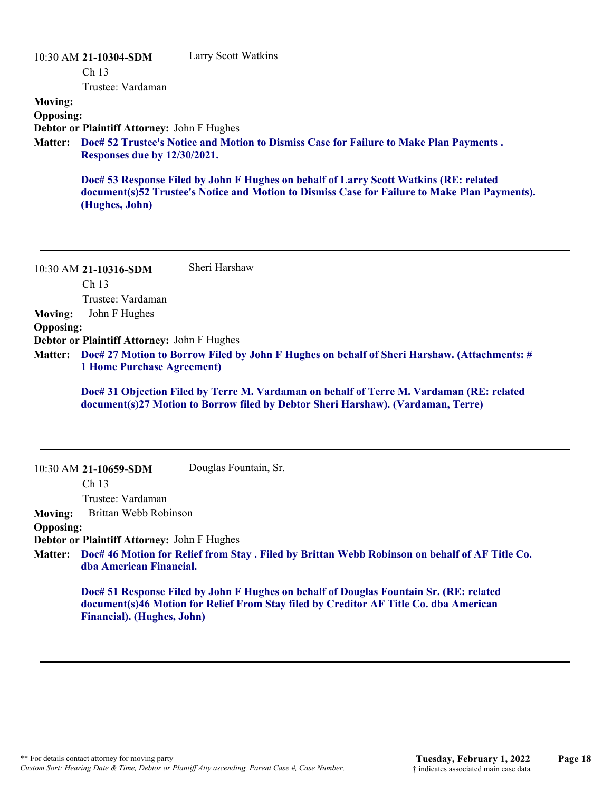|                  | 10:30 AM 21-10304-SDM                              | <b>Larry Scott Watkins</b>                                                                                                                                                             |
|------------------|----------------------------------------------------|----------------------------------------------------------------------------------------------------------------------------------------------------------------------------------------|
|                  | Ch <sub>13</sub>                                   |                                                                                                                                                                                        |
|                  | Trustee: Vardaman                                  |                                                                                                                                                                                        |
| <b>Moving:</b>   |                                                    |                                                                                                                                                                                        |
| <b>Opposing:</b> |                                                    |                                                                                                                                                                                        |
|                  | <b>Debtor or Plaintiff Attorney: John F Hughes</b> |                                                                                                                                                                                        |
| <b>Matter:</b>   | Responses due by 12/30/2021.                       | Doc# 52 Trustee's Notice and Motion to Dismiss Case for Failure to Make Plan Payments.                                                                                                 |
|                  | (Hughes, John)                                     | Doc# 53 Response Filed by John F Hughes on behalf of Larry Scott Watkins (RE: related<br>document(s)52 Trustee's Notice and Motion to Dismiss Case for Failure to Make Plan Payments). |
|                  |                                                    |                                                                                                                                                                                        |

10:30 AM **21-10316-SDM**  Ch 13 Trustee: Vardaman Sheri Harshaw **Moving:** John F Hughes **Opposing: Debtor or Plaintiff Attorney:** John F Hughes **Doc# 27 Motion to Borrow Filed by John F Hughes on behalf of Sheri Harshaw. (Attachments: # Matter: 1 Home Purchase Agreement) Doc# 31 Objection Filed by Terre M. Vardaman on behalf of Terre M. Vardaman (RE: related document(s)27 Motion to Borrow filed by Debtor Sheri Harshaw). (Vardaman, Terre)**

10:30 AM **21-10659-SDM**  Douglas Fountain, Sr.

Ch 13

Trustee: Vardaman

**Moving:** Brittan Webb Robinson

**Opposing:**

**Debtor or Plaintiff Attorney:** John F Hughes

**Doc# 46 Motion for Relief from Stay . Filed by Brittan Webb Robinson on behalf of AF Title Co. Matter: dba American Financial.**

**Doc# 51 Response Filed by John F Hughes on behalf of Douglas Fountain Sr. (RE: related document(s)46 Motion for Relief From Stay filed by Creditor AF Title Co. dba American Financial). (Hughes, John)**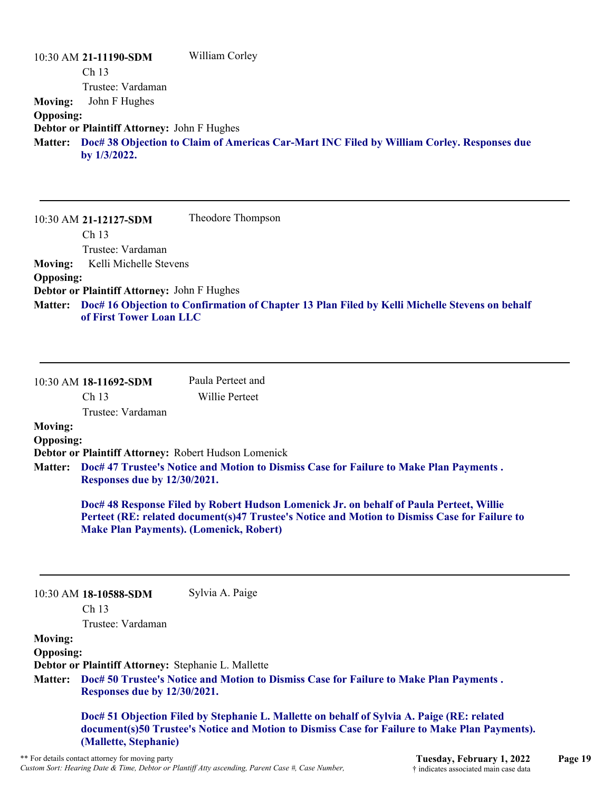|                  | 10:30 AM 21-11190-SDM                       | William Corley                                                                             |
|------------------|---------------------------------------------|--------------------------------------------------------------------------------------------|
|                  | Ch <sub>13</sub>                            |                                                                                            |
|                  | Trustee: Vardaman                           |                                                                                            |
| <b>Moving:</b>   | John F Hughes                               |                                                                                            |
| <b>Opposing:</b> |                                             |                                                                                            |
|                  | Debtor or Plaintiff Attorney: John F Hughes |                                                                                            |
| <b>Matter:</b>   | by $1/3/2022$ .                             | Doc# 38 Objection to Claim of Americas Car-Mart INC Filed by William Corley. Responses due |

|                  | 10:30 AM 21-12127-SDM                              | Theodore Thompson                                                                                      |
|------------------|----------------------------------------------------|--------------------------------------------------------------------------------------------------------|
|                  | Ch <sub>13</sub>                                   |                                                                                                        |
|                  | Trustee: Vardaman                                  |                                                                                                        |
| <b>Moving:</b>   | Kelli Michelle Stevens                             |                                                                                                        |
| <b>Opposing:</b> |                                                    |                                                                                                        |
|                  | <b>Debtor or Plaintiff Attorney: John F Hughes</b> |                                                                                                        |
|                  | of First Tower Loan LLC                            | Matter: Doc# 16 Objection to Confirmation of Chapter 13 Plan Filed by Kelli Michelle Stevens on behalf |

|                  | 10:30 AM 18-11692-SDM                            | Paula Perteet and                                                                                                                         |                                                                                               |         |
|------------------|--------------------------------------------------|-------------------------------------------------------------------------------------------------------------------------------------------|-----------------------------------------------------------------------------------------------|---------|
|                  | Ch 13                                            | Willie Perteet                                                                                                                            |                                                                                               |         |
|                  | Trustee: Vardaman                                |                                                                                                                                           |                                                                                               |         |
| <b>Moving:</b>   |                                                  |                                                                                                                                           |                                                                                               |         |
| <b>Opposing:</b> |                                                  |                                                                                                                                           |                                                                                               |         |
|                  |                                                  | Debtor or Plaintiff Attorney: Robert Hudson Lomenick                                                                                      |                                                                                               |         |
| Matter:          | Responses due by 12/30/2021.                     | Doc# 47 Trustee's Notice and Motion to Dismiss Case for Failure to Make Plan Payments.                                                    |                                                                                               |         |
|                  |                                                  | Doc# 48 Response Filed by Robert Hudson Lomenick Jr. on behalf of Paula Perteet, Willie<br><b>Make Plan Payments). (Lomenick, Robert)</b> | Perteet (RE: related document(s)47 Trustee's Notice and Motion to Dismiss Case for Failure to |         |
|                  | 10:30 AM 18-10588-SDM<br>Ch <sub>13</sub>        | Sylvia A. Paige                                                                                                                           |                                                                                               |         |
|                  | Trustee: Vardaman                                |                                                                                                                                           |                                                                                               |         |
| <b>Moving:</b>   |                                                  |                                                                                                                                           |                                                                                               |         |
| <b>Opposing:</b> |                                                  |                                                                                                                                           |                                                                                               |         |
|                  |                                                  | Debtor or Plaintiff Attorney: Stephanie L. Mallette                                                                                       |                                                                                               |         |
| <b>Matter:</b>   | Responses due by 12/30/2021.                     | Doc# 50 Trustee's Notice and Motion to Dismiss Case for Failure to Make Plan Payments.                                                    |                                                                                               |         |
|                  | (Mallette, Stephanie)                            | Doc# 51 Objection Filed by Stephanie L. Mallette on behalf of Sylvia A. Paige (RE: related                                                | document(s)50 Trustee's Notice and Motion to Dismiss Case for Failure to Make Plan Payments). |         |
|                  | ** For details contact attorney for moving party |                                                                                                                                           | Tuesday, February 1, 2022                                                                     | Page 19 |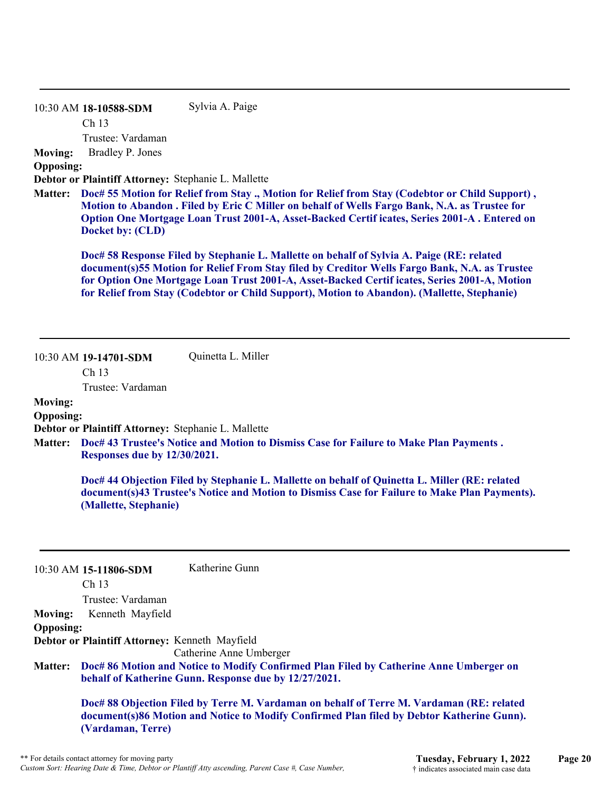#### 10:30 AM **18-10588-SDM**  Sylvia A. Paige

Ch 13

Trustee: Vardaman

**Moving:** Bradley P. Jones

#### **Opposing:**

**Debtor or Plaintiff Attorney:** Stephanie L. Mallette

**Doc# 55 Motion for Relief from Stay ., Motion for Relief from Stay (Codebtor or Child Support) , Matter: Motion to Abandon . Filed by Eric C Miller on behalf of Wells Fargo Bank, N.A. as Trustee for Option One Mortgage Loan Trust 2001-A, Asset-Backed Certif icates, Series 2001-A . Entered on Docket by: (CLD)**

**Doc# 58 Response Filed by Stephanie L. Mallette on behalf of Sylvia A. Paige (RE: related document(s)55 Motion for Relief From Stay filed by Creditor Wells Fargo Bank, N.A. as Trustee for Option One Mortgage Loan Trust 2001-A, Asset-Backed Certif icates, Series 2001-A, Motion for Relief from Stay (Codebtor or Child Support), Motion to Abandon). (Mallette, Stephanie)**

10:30 AM **19-14701-SDM** 

Quinetta L. Miller

Ch 13

Trustee: Vardaman

## **Moving:**

#### **Opposing:**

**Debtor or Plaintiff Attorney:** Stephanie L. Mallette

**Doc# 43 Trustee's Notice and Motion to Dismiss Case for Failure to Make Plan Payments . Matter: Responses due by 12/30/2021.**

**Doc# 44 Objection Filed by Stephanie L. Mallette on behalf of Quinetta L. Miller (RE: related document(s)43 Trustee's Notice and Motion to Dismiss Case for Failure to Make Plan Payments). (Mallette, Stephanie)**

|                  | $10:30$ AM 15-11806-SDM                        | Katherine Gunn                                                                                 |
|------------------|------------------------------------------------|------------------------------------------------------------------------------------------------|
|                  | Ch <sub>13</sub>                               |                                                                                                |
|                  | Trustee: Vardaman                              |                                                                                                |
| <b>Moving:</b>   | Kenneth Mayfield                               |                                                                                                |
| <b>Opposing:</b> |                                                |                                                                                                |
|                  | Debtor or Plaintiff Attorney: Kenneth Mayfield |                                                                                                |
|                  |                                                | Catherine Anne Umberger                                                                        |
|                  |                                                | Matter: Doc# 86 Motion and Notice to Modify Confirmed Plan Filed by Catherine Anne Umberger on |
|                  |                                                | behalf of Katherine Gunn. Response due by 12/27/2021.                                          |
|                  |                                                | Doc# 88 Objection Filed by Terre M. Vardaman on behalf of Terre M. Vardaman (RE: related       |
|                  |                                                | document(s)86 Motion and Notice to Modify Confirmed Plan filed by Debtor Katherine Gunn).      |
|                  | (Vardaman, Terre)                              |                                                                                                |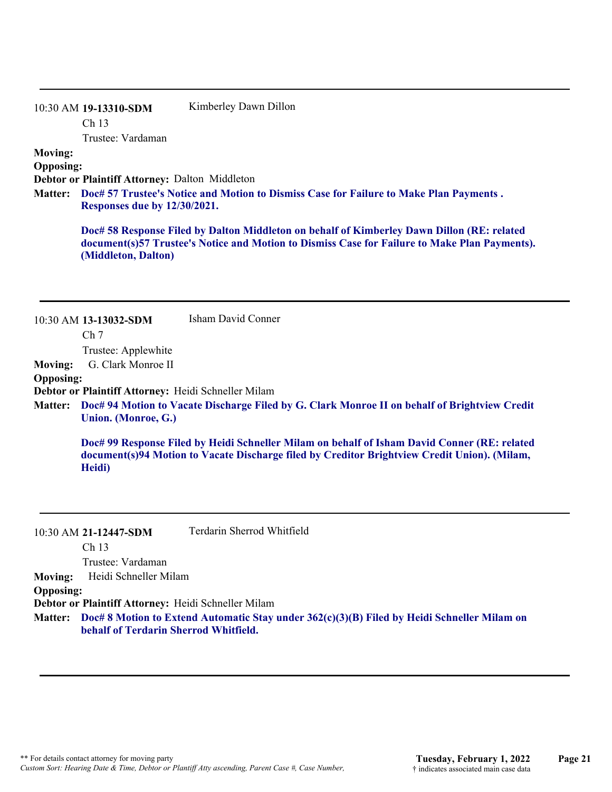#### 10:30 AM **19-13310-SDM**  Kimberley Dawn Dillon

Ch 13

Trustee: Vardaman

### **Moving:**

**Opposing:**

**Debtor or Plaintiff Attorney:** Dalton Middleton

**Doc# 57 Trustee's Notice and Motion to Dismiss Case for Failure to Make Plan Payments . Matter: Responses due by 12/30/2021.**

**Doc# 58 Response Filed by Dalton Middleton on behalf of Kimberley Dawn Dillon (RE: related document(s)57 Trustee's Notice and Motion to Dismiss Case for Failure to Make Plan Payments). (Middleton, Dalton)**

|                  | 10:30 AM 13-13032-SDM                               | Isham David Conner                                                                                                                                                                           |
|------------------|-----------------------------------------------------|----------------------------------------------------------------------------------------------------------------------------------------------------------------------------------------------|
|                  | Ch <sub>7</sub>                                     |                                                                                                                                                                                              |
|                  | Trustee: Applewhite                                 |                                                                                                                                                                                              |
| <b>Moving:</b>   | G. Clark Monroe II                                  |                                                                                                                                                                                              |
| <b>Opposing:</b> |                                                     |                                                                                                                                                                                              |
|                  | Debtor or Plaintiff Attorney: Heidi Schneller Milam |                                                                                                                                                                                              |
| Heidi)           | Union. (Monroe, G.)                                 | Matter: Doc# 94 Motion to Vacate Discharge Filed by G. Clark Monroe II on behalf of Brightview Credit                                                                                        |
|                  |                                                     | Doc# 99 Response Filed by Heidi Schneller Milam on behalf of Isham David Conner (RE: related<br>document(s)94 Motion to Vacate Discharge filed by Creditor Brightview Credit Union). (Milam, |

#### 10:30 AM **21-12447-SDM**

Terdarin Sherrod Whitfield

Ch 13

Trustee: Vardaman

**Moving:** Heidi Schneller Milam

**Opposing:**

**Debtor or Plaintiff Attorney:** Heidi Schneller Milam

**Doc# 8 Motion to Extend Automatic Stay under 362(c)(3)(B) Filed by Heidi Schneller Milam on Matter: behalf of Terdarin Sherrod Whitfield.**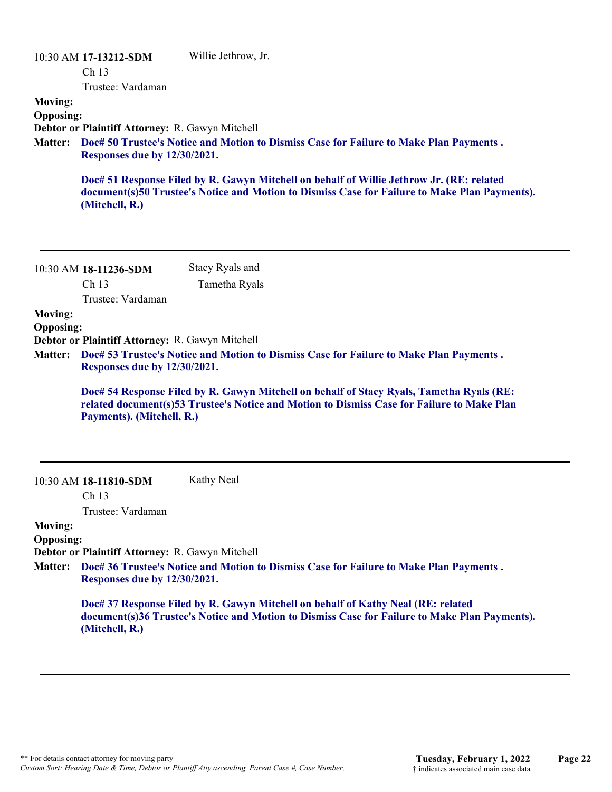|                                    | 10:30 AM 17-13212-SDM<br>Ch <sub>13</sub><br>Trustee: Vardaman                         | Willie Jethrow, Jr.                                                                                                                                                                       |
|------------------------------------|----------------------------------------------------------------------------------------|-------------------------------------------------------------------------------------------------------------------------------------------------------------------------------------------|
| <b>Moving:</b><br><b>Opposing:</b> |                                                                                        |                                                                                                                                                                                           |
| <b>Matter:</b>                     | Debtor or Plaintiff Attorney: R. Gawyn Mitchell<br><b>Responses due by 12/30/2021.</b> | Doc# 50 Trustee's Notice and Motion to Dismiss Case for Failure to Make Plan Payments.                                                                                                    |
|                                    | (Mitchell, R.)                                                                         | Doc# 51 Response Filed by R. Gawyn Mitchell on behalf of Willie Jethrow Jr. (RE: related<br>document(s)50 Trustee's Notice and Motion to Dismiss Case for Failure to Make Plan Payments). |
|                                    | 10:30 AM 18-11236-SDM                                                                  | Stacy Ryals and                                                                                                                                                                           |
|                                    | Ch 13<br>Trustee: Vardaman                                                             | Tametha Ryals                                                                                                                                                                             |
| <b>Moving:</b>                     |                                                                                        |                                                                                                                                                                                           |
| <b>Opposing:</b>                   | Debtor or Plaintiff Attorney: R. Gawyn Mitchell                                        |                                                                                                                                                                                           |
| <b>Matter:</b>                     | Responses due by 12/30/2021.                                                           | Doc# 53 Trustee's Notice and Motion to Dismiss Case for Failure to Make Plan Payments.                                                                                                    |
|                                    | Payments). (Mitchell, R.)                                                              | Doc# 54 Response Filed by R. Gawyn Mitchell on behalf of Stacy Ryals, Tametha Ryals (RE:<br>related document(s)53 Trustee's Notice and Motion to Dismiss Case for Failure to Make Plan    |
|                                    | 10:30 AM 18-11810-SDM                                                                  | <b>Kathy Neal</b>                                                                                                                                                                         |
|                                    | Ch <sub>13</sub>                                                                       |                                                                                                                                                                                           |
|                                    | Trustee: Vardaman                                                                      |                                                                                                                                                                                           |
| <b>Moving:</b><br><b>Opposing:</b> |                                                                                        |                                                                                                                                                                                           |
|                                    | Debtor or Plaintiff Attorney: R. Gawyn Mitchell                                        |                                                                                                                                                                                           |
| <b>Matter:</b>                     | Responses due by 12/30/2021.                                                           | Doc# 36 Trustee's Notice and Motion to Dismiss Case for Failure to Make Plan Payments.                                                                                                    |
|                                    | (Mitchell, R.)                                                                         | Doc# 37 Response Filed by R. Gawyn Mitchell on behalf of Kathy Neal (RE: related<br>document(s)36 Trustee's Notice and Motion to Dismiss Case for Failure to Make Plan Payments).         |
|                                    |                                                                                        |                                                                                                                                                                                           |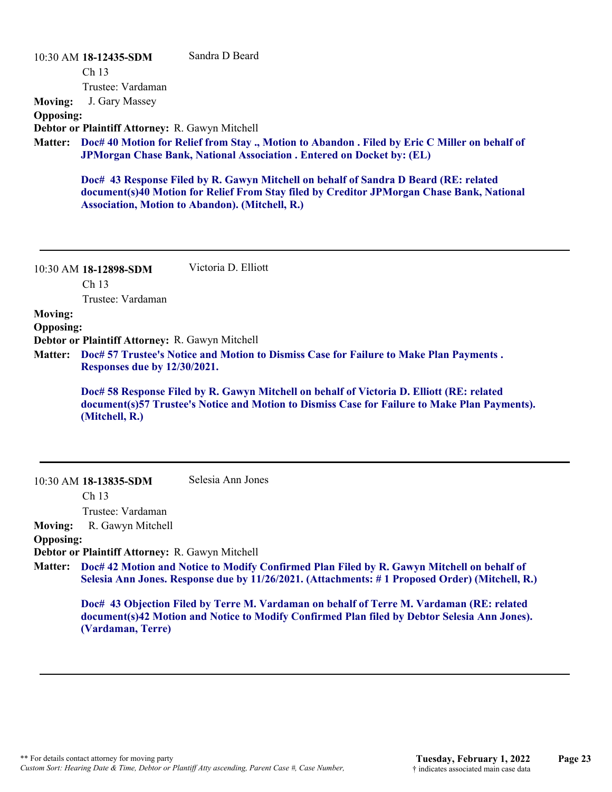|                                    | 10:30 AM 18-12435-SDM<br>Ch <sub>13</sub>                                       | Sandra D Beard                                                                                                                                                                                                                              |
|------------------------------------|---------------------------------------------------------------------------------|---------------------------------------------------------------------------------------------------------------------------------------------------------------------------------------------------------------------------------------------|
| <b>Moving:</b><br><b>Opposing:</b> | Trustee: Vardaman<br>J. Gary Massey                                             |                                                                                                                                                                                                                                             |
|                                    | Debtor or Plaintiff Attorney: R. Gawyn Mitchell                                 |                                                                                                                                                                                                                                             |
| <b>Matter:</b>                     |                                                                                 | Doc# 40 Motion for Relief from Stay., Motion to Abandon. Filed by Eric C Miller on behalf of<br><b>JPMorgan Chase Bank, National Association . Entered on Docket by: (EL)</b>                                                               |
|                                    |                                                                                 | Doc# 43 Response Filed by R. Gawyn Mitchell on behalf of Sandra D Beard (RE: related<br>document(s)40 Motion for Relief From Stay filed by Creditor JPMorgan Chase Bank, National<br><b>Association, Motion to Abandon). (Mitchell, R.)</b> |
|                                    | 10:30 AM 18-12898-SDM                                                           | Victoria D. Elliott                                                                                                                                                                                                                         |
|                                    | Ch 13                                                                           |                                                                                                                                                                                                                                             |
|                                    | Trustee: Vardaman                                                               |                                                                                                                                                                                                                                             |
| <b>Moving:</b>                     |                                                                                 |                                                                                                                                                                                                                                             |
| <b>Opposing:</b>                   |                                                                                 |                                                                                                                                                                                                                                             |
| <b>Matter:</b>                     | Debtor or Plaintiff Attorney: R. Gawyn Mitchell<br>Responses due by 12/30/2021. | Doc# 57 Trustee's Notice and Motion to Dismiss Case for Failure to Make Plan Payments.                                                                                                                                                      |
|                                    | (Mitchell, R.)                                                                  | Doc# 58 Response Filed by R. Gawyn Mitchell on behalf of Victoria D. Elliott (RE: related<br>document(s)57 Trustee's Notice and Motion to Dismiss Case for Failure to Make Plan Payments).                                                  |
|                                    | 10:30 AM 18-13835-SDM                                                           | Selesia Ann Jones                                                                                                                                                                                                                           |
|                                    | Ch <sub>13</sub>                                                                |                                                                                                                                                                                                                                             |
|                                    | Trustee: Vardaman                                                               |                                                                                                                                                                                                                                             |
| <b>Moving:</b><br><b>Opposing:</b> | R. Gawyn Mitchell                                                               |                                                                                                                                                                                                                                             |
|                                    | Debtor or Plaintiff Attorney: R. Gawyn Mitchell                                 |                                                                                                                                                                                                                                             |
| <b>Matter:</b>                     |                                                                                 | Doc# 42 Motion and Notice to Modify Confirmed Plan Filed by R. Gawyn Mitchell on behalf of<br>Selesia Ann Jones. Response due by 11/26/2021. (Attachments: #1 Proposed Order) (Mitchell, R.)                                                |
|                                    | (Vardaman, Terre)                                                               | Doc# 43 Objection Filed by Terre M. Vardaman on behalf of Terre M. Vardaman (RE: related<br>document(s)42 Motion and Notice to Modify Confirmed Plan filed by Debtor Selesia Ann Jones).                                                    |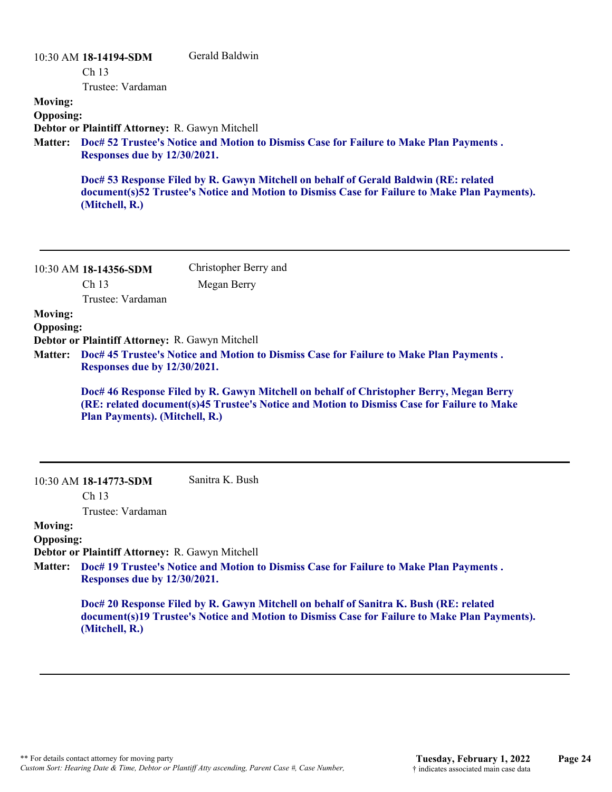|                                    | 10:30 AM 18-14194-SDM<br>Ch 13<br>Trustee: Vardaman | Gerald Baldwin                                                                                                                                                                         |
|------------------------------------|-----------------------------------------------------|----------------------------------------------------------------------------------------------------------------------------------------------------------------------------------------|
| <b>Moving:</b>                     |                                                     |                                                                                                                                                                                        |
| <b>Opposing:</b>                   |                                                     |                                                                                                                                                                                        |
|                                    | Debtor or Plaintiff Attorney: R. Gawyn Mitchell     |                                                                                                                                                                                        |
| <b>Matter:</b>                     | <b>Responses due by 12/30/2021.</b>                 | Doc# 52 Trustee's Notice and Motion to Dismiss Case for Failure to Make Plan Payments.                                                                                                 |
|                                    | (Mitchell, R.)                                      | Doc# 53 Response Filed by R. Gawyn Mitchell on behalf of Gerald Baldwin (RE: related<br>document(s)52 Trustee's Notice and Motion to Dismiss Case for Failure to Make Plan Payments).  |
|                                    | 10:30 AM 18-14356-SDM<br>Ch <sub>13</sub>           | Christopher Berry and<br>Megan Berry                                                                                                                                                   |
|                                    | Trustee: Vardaman                                   |                                                                                                                                                                                        |
| <b>Moving:</b>                     |                                                     |                                                                                                                                                                                        |
| <b>Opposing:</b>                   |                                                     |                                                                                                                                                                                        |
|                                    | Debtor or Plaintiff Attorney: R. Gawyn Mitchell     |                                                                                                                                                                                        |
| <b>Matter:</b>                     | Responses due by 12/30/2021.                        | Doc# 45 Trustee's Notice and Motion to Dismiss Case for Failure to Make Plan Payments.                                                                                                 |
|                                    | Plan Payments). (Mitchell, R.)                      | Doc# 46 Response Filed by R. Gawyn Mitchell on behalf of Christopher Berry, Megan Berry<br>(RE: related document(s)45 Trustee's Notice and Motion to Dismiss Case for Failure to Make  |
|                                    | 10:30 AM 18-14773-SDM<br>Ch 13                      | Sanitra K. Bush                                                                                                                                                                        |
|                                    | Trustee: Vardaman                                   |                                                                                                                                                                                        |
| <b>Moving:</b><br><b>Opposing:</b> |                                                     |                                                                                                                                                                                        |
|                                    | Debtor or Plaintiff Attorney: R. Gawyn Mitchell     |                                                                                                                                                                                        |
| <b>Matter:</b>                     | <b>Responses due by 12/30/2021.</b>                 | Doc# 19 Trustee's Notice and Motion to Dismiss Case for Failure to Make Plan Payments.                                                                                                 |
|                                    | (Mitchell, R.)                                      | Doc# 20 Response Filed by R. Gawyn Mitchell on behalf of Sanitra K. Bush (RE: related<br>document(s)19 Trustee's Notice and Motion to Dismiss Case for Failure to Make Plan Payments). |
|                                    |                                                     |                                                                                                                                                                                        |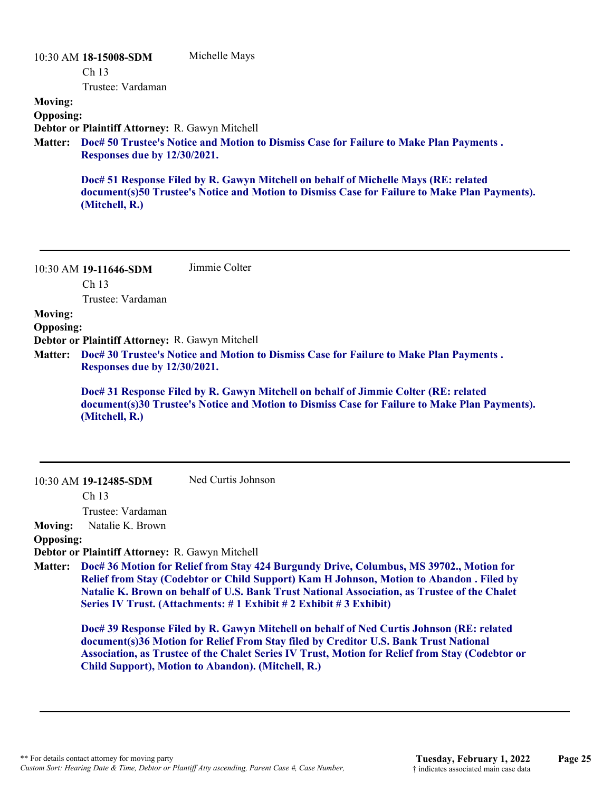## 10:30 AM **18-15008-SDM**  Ch 13 Trustee: Vardaman Michelle Mays **Moving: Opposing: Debtor or Plaintiff Attorney:** R. Gawyn Mitchell **Doc# 50 Trustee's Notice and Motion to Dismiss Case for Failure to Make Plan Payments . Matter: Responses due by 12/30/2021. Doc# 51 Response Filed by R. Gawyn Mitchell on behalf of Michelle Mays (RE: related document(s)50 Trustee's Notice and Motion to Dismiss Case for Failure to Make Plan Payments). (Mitchell, R.)**

10:30 AM **19-11646-SDM**  Ch 13 Jimmie Colter

Trustee: Vardaman

## **Moving:**

## **Opposing:**

**Debtor or Plaintiff Attorney:** R. Gawyn Mitchell

**Doc# 30 Trustee's Notice and Motion to Dismiss Case for Failure to Make Plan Payments . Matter: Responses due by 12/30/2021.**

> **Doc# 31 Response Filed by R. Gawyn Mitchell on behalf of Jimmie Colter (RE: related document(s)30 Trustee's Notice and Motion to Dismiss Case for Failure to Make Plan Payments). (Mitchell, R.)**

#### 10:30 AM **19-12485-SDM**

Ned Curtis Johnson

Ch 13

Trustee: Vardaman

**Moving:** Natalie K. Brown

## **Opposing:**

**Debtor or Plaintiff Attorney:** R. Gawyn Mitchell

**Doc# 36 Motion for Relief from Stay 424 Burgundy Drive, Columbus, MS 39702., Motion for Matter: Relief from Stay (Codebtor or Child Support) Kam H Johnson, Motion to Abandon . Filed by Natalie K. Brown on behalf of U.S. Bank Trust National Association, as Trustee of the Chalet Series IV Trust. (Attachments: # 1 Exhibit # 2 Exhibit # 3 Exhibit)**

**Doc# 39 Response Filed by R. Gawyn Mitchell on behalf of Ned Curtis Johnson (RE: related document(s)36 Motion for Relief From Stay filed by Creditor U.S. Bank Trust National Association, as Trustee of the Chalet Series IV Trust, Motion for Relief from Stay (Codebtor or Child Support), Motion to Abandon). (Mitchell, R.)**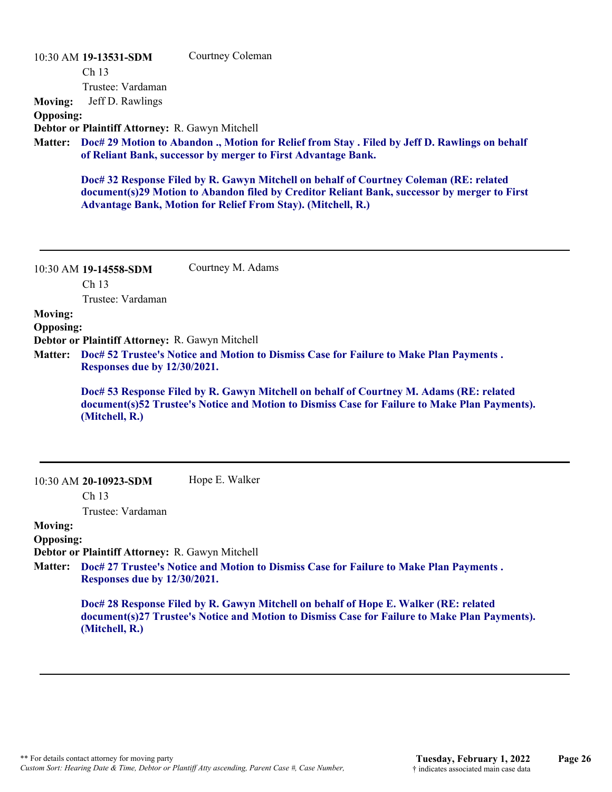|                  | 10:30 AM 19-13531-SDM                                                           | Courtney Coleman                                                                                                                                                                                                                                              |
|------------------|---------------------------------------------------------------------------------|---------------------------------------------------------------------------------------------------------------------------------------------------------------------------------------------------------------------------------------------------------------|
|                  | Ch 13                                                                           |                                                                                                                                                                                                                                                               |
|                  | Trustee: Vardaman                                                               |                                                                                                                                                                                                                                                               |
| <b>Moving:</b>   | Jeff D. Rawlings                                                                |                                                                                                                                                                                                                                                               |
| <b>Opposing:</b> |                                                                                 |                                                                                                                                                                                                                                                               |
|                  | Debtor or Plaintiff Attorney: R. Gawyn Mitchell                                 |                                                                                                                                                                                                                                                               |
| <b>Matter:</b>   |                                                                                 | Doc# 29 Motion to Abandon ., Motion for Relief from Stay . Filed by Jeff D. Rawlings on behalf<br>of Reliant Bank, successor by merger to First Advantage Bank.                                                                                               |
|                  |                                                                                 |                                                                                                                                                                                                                                                               |
|                  |                                                                                 | Doc# 32 Response Filed by R. Gawyn Mitchell on behalf of Courtney Coleman (RE: related<br>document(s)29 Motion to Abandon filed by Creditor Reliant Bank, successor by merger to First<br><b>Advantage Bank, Motion for Relief From Stay). (Mitchell, R.)</b> |
|                  | 10:30 AM 19-14558-SDM                                                           | Courtney M. Adams                                                                                                                                                                                                                                             |
|                  | Ch 13                                                                           |                                                                                                                                                                                                                                                               |
|                  | Trustee: Vardaman                                                               |                                                                                                                                                                                                                                                               |
| <b>Moving:</b>   |                                                                                 |                                                                                                                                                                                                                                                               |
| <b>Opposing:</b> | Debtor or Plaintiff Attorney: R. Gawyn Mitchell                                 |                                                                                                                                                                                                                                                               |
| <b>Matter:</b>   | Responses due by 12/30/2021.                                                    | Doc# 52 Trustee's Notice and Motion to Dismiss Case for Failure to Make Plan Payments.                                                                                                                                                                        |
|                  | (Mitchell, R.)                                                                  | Doc# 53 Response Filed by R. Gawyn Mitchell on behalf of Courtney M. Adams (RE: related<br>document(s)52 Trustee's Notice and Motion to Dismiss Case for Failure to Make Plan Payments).                                                                      |
|                  | 10:30 AM 20-10923-SDM<br>Ch <sub>13</sub><br>Trustee: Vardaman                  | Hope E. Walker                                                                                                                                                                                                                                                |
| <b>Moving:</b>   |                                                                                 |                                                                                                                                                                                                                                                               |
| <b>Opposing:</b> |                                                                                 |                                                                                                                                                                                                                                                               |
| <b>Matter:</b>   | Debtor or Plaintiff Attorney: R. Gawyn Mitchell<br>Responses due by 12/30/2021. | Doc# 27 Trustee's Notice and Motion to Dismiss Case for Failure to Make Plan Payments.                                                                                                                                                                        |
|                  | (Mitchell, R.)                                                                  | Doc# 28 Response Filed by R. Gawyn Mitchell on behalf of Hope E. Walker (RE: related<br>document(s)27 Trustee's Notice and Motion to Dismiss Case for Failure to Make Plan Payments).                                                                         |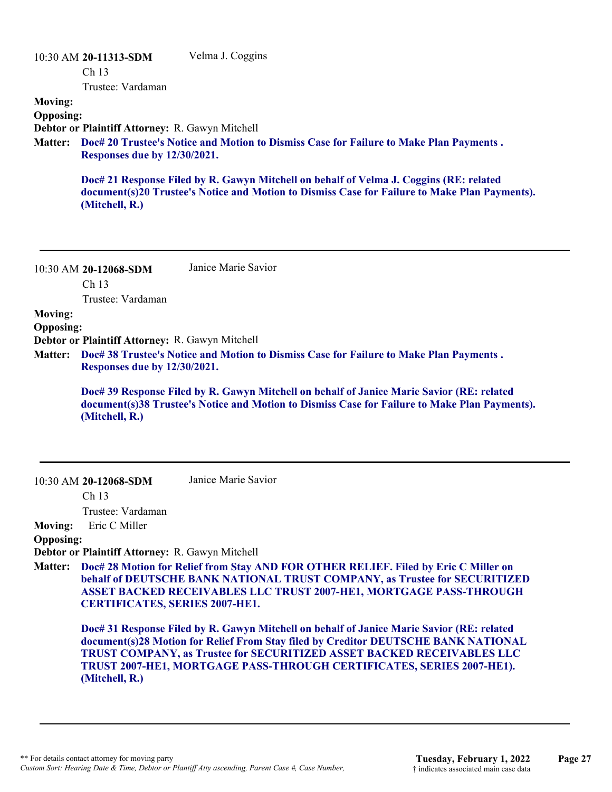|                  | 10:30 AM 20-11313-SDM                                                         | Velma J. Coggins                                                                                                                                                                        |
|------------------|-------------------------------------------------------------------------------|-----------------------------------------------------------------------------------------------------------------------------------------------------------------------------------------|
|                  | Ch <sub>13</sub>                                                              |                                                                                                                                                                                         |
|                  | Trustee: Vardaman                                                             |                                                                                                                                                                                         |
| <b>Moving:</b>   |                                                                               |                                                                                                                                                                                         |
| <b>Opposing:</b> |                                                                               |                                                                                                                                                                                         |
|                  | Debtor or Plaintiff Attorney: R. Gawyn Mitchell                               |                                                                                                                                                                                         |
| <b>Matter:</b>   |                                                                               | Doc# 20 Trustee's Notice and Motion to Dismiss Case for Failure to Make Plan Payments.                                                                                                  |
|                  | Responses due by 12/30/2021.                                                  |                                                                                                                                                                                         |
|                  | $\mathbf{A}$ $\mathbf{B}$ $\mathbf{A}$ $\mathbf{B}$ $\mathbf{A}$ $\mathbf{A}$ | Doc# 21 Response Filed by R. Gawyn Mitchell on behalf of Velma J. Coggins (RE: related<br>document(s)20 Trustee's Notice and Motion to Dismiss Case for Failure to Make Plan Payments). |

**(Mitchell, R.)**

10:30 AM **20-12068-SDM**  Ch 13 Janice Marie Savior

Trustee: Vardaman

## **Moving:**

**Opposing:**

**Debtor or Plaintiff Attorney:** R. Gawyn Mitchell

**Doc# 38 Trustee's Notice and Motion to Dismiss Case for Failure to Make Plan Payments . Matter: Responses due by 12/30/2021.**

Janice Marie Savior

**Doc# 39 Response Filed by R. Gawyn Mitchell on behalf of Janice Marie Savior (RE: related document(s)38 Trustee's Notice and Motion to Dismiss Case for Failure to Make Plan Payments). (Mitchell, R.)**

10:30 AM **20-12068-SDM** 

Ch 13

Trustee: Vardaman

**Moving:** Eric C Miller

## **Opposing:**

**Debtor or Plaintiff Attorney:** R. Gawyn Mitchell

**Doc# 28 Motion for Relief from Stay AND FOR OTHER RELIEF. Filed by Eric C Miller on Matter: behalf of DEUTSCHE BANK NATIONAL TRUST COMPANY, as Trustee for SECURITIZED ASSET BACKED RECEIVABLES LLC TRUST 2007-HE1, MORTGAGE PASS-THROUGH CERTIFICATES, SERIES 2007-HE1.**

**Doc# 31 Response Filed by R. Gawyn Mitchell on behalf of Janice Marie Savior (RE: related document(s)28 Motion for Relief From Stay filed by Creditor DEUTSCHE BANK NATIONAL TRUST COMPANY, as Trustee for SECURITIZED ASSET BACKED RECEIVABLES LLC TRUST 2007-HE1, MORTGAGE PASS-THROUGH CERTIFICATES, SERIES 2007-HE1). (Mitchell, R.)**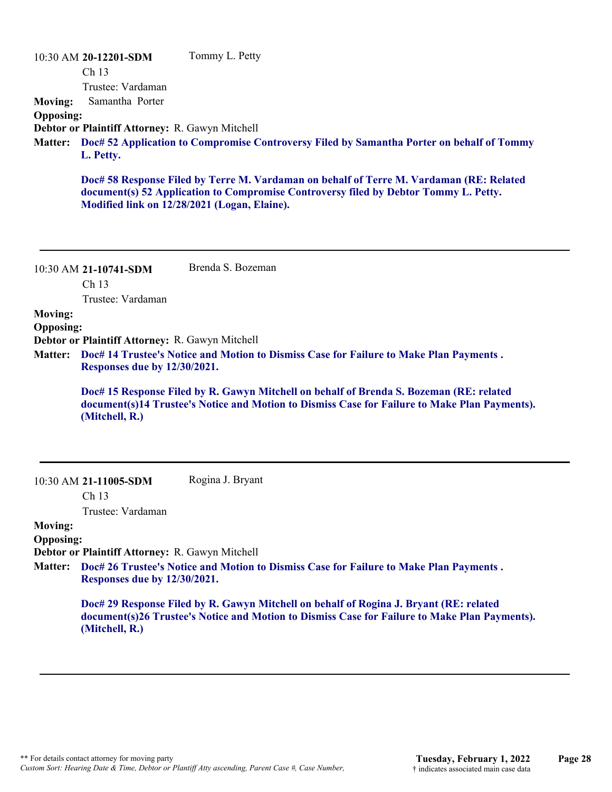|                   | 10:30 AM 20-12201-SDM                                    | Tommy L. Petty                                                                                                                                                                           |
|-------------------|----------------------------------------------------------|------------------------------------------------------------------------------------------------------------------------------------------------------------------------------------------|
| <b>Moving:</b>    | Ch <sub>13</sub><br>Trustee: Vardaman<br>Samantha Porter |                                                                                                                                                                                          |
| <b>Opposing:</b>  | Debtor or Plaintiff Attorney: R. Gawyn Mitchell          |                                                                                                                                                                                          |
| <b>Matter:</b>    | L. Petty.                                                | Doc# 52 Application to Compromise Controversy Filed by Samantha Porter on behalf of Tommy                                                                                                |
|                   | Modified link on 12/28/2021 (Logan, Elaine).             | Doc# 58 Response Filed by Terre M. Vardaman on behalf of Terre M. Vardaman (RE: Related<br>document(s) 52 Application to Compromise Controversy filed by Debtor Tommy L. Petty.          |
|                   |                                                          |                                                                                                                                                                                          |
|                   | 10:30 AM 21-10741-SDM                                    | Brenda S. Bozeman                                                                                                                                                                        |
|                   | Ch <sub>13</sub>                                         |                                                                                                                                                                                          |
|                   | Trustee: Vardaman                                        |                                                                                                                                                                                          |
| <b>Moving:</b>    |                                                          |                                                                                                                                                                                          |
| <b>Opposing:</b>  |                                                          |                                                                                                                                                                                          |
|                   | Debtor or Plaintiff Attorney: R. Gawyn Mitchell          |                                                                                                                                                                                          |
| <b>Matter:</b>    | <b>Responses due by 12/30/2021.</b>                      | Doc# 14 Trustee's Notice and Motion to Dismiss Case for Failure to Make Plan Payments.                                                                                                   |
|                   | (Mitchell, R.)                                           | Doc# 15 Response Filed by R. Gawyn Mitchell on behalf of Brenda S. Bozeman (RE: related<br>document(s)14 Trustee's Notice and Motion to Dismiss Case for Failure to Make Plan Payments). |
|                   |                                                          |                                                                                                                                                                                          |
|                   | 10:30 AM 21-11005-SDM<br>Ch <sub>13</sub>                | Rogina J. Bryant                                                                                                                                                                         |
|                   | Trustee: Vardaman                                        |                                                                                                                                                                                          |
| <b>Moving:</b>    |                                                          |                                                                                                                                                                                          |
| $\Omega$ nnooingi |                                                          |                                                                                                                                                                                          |

#### **Opposing:**

**Debtor or Plaintiff Attorney:** R. Gawyn Mitchell

**Doc# 26 Trustee's Notice and Motion to Dismiss Case for Failure to Make Plan Payments . Matter: Responses due by 12/30/2021.**

**Doc# 29 Response Filed by R. Gawyn Mitchell on behalf of Rogina J. Bryant (RE: related document(s)26 Trustee's Notice and Motion to Dismiss Case for Failure to Make Plan Payments). (Mitchell, R.)**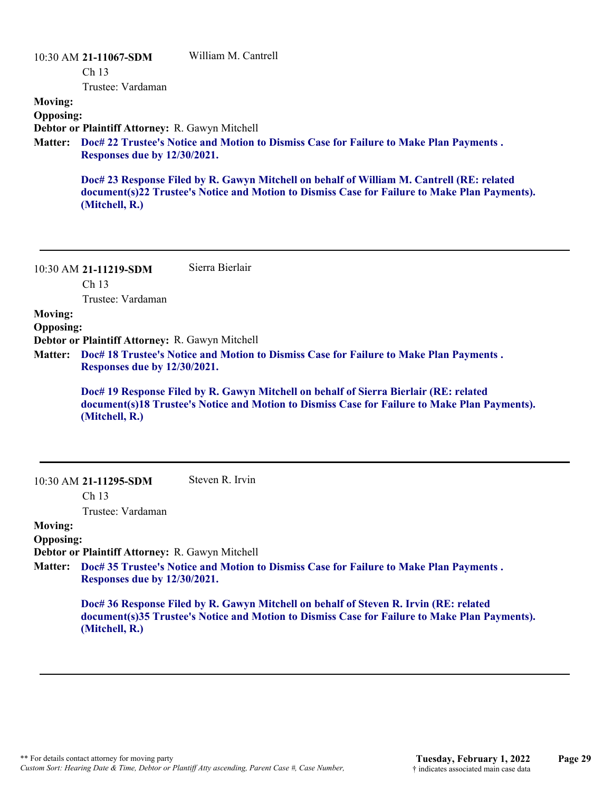|                  | $10:30$ AM 21-11067-SDM                         | William M. Cantrell                                                                                                                                                                        |
|------------------|-------------------------------------------------|--------------------------------------------------------------------------------------------------------------------------------------------------------------------------------------------|
|                  | Ch <sub>13</sub>                                |                                                                                                                                                                                            |
|                  | Trustee: Vardaman                               |                                                                                                                                                                                            |
| <b>Moving:</b>   |                                                 |                                                                                                                                                                                            |
| <b>Opposing:</b> |                                                 |                                                                                                                                                                                            |
|                  | Debtor or Plaintiff Attorney: R. Gawyn Mitchell |                                                                                                                                                                                            |
| <b>Matter:</b>   | Responses due by 12/30/2021.                    | Doc# 22 Trustee's Notice and Motion to Dismiss Case for Failure to Make Plan Payments.                                                                                                     |
|                  | (Mitchell, R.)                                  | Doc# 23 Response Filed by R. Gawyn Mitchell on behalf of William M. Cantrell (RE: related<br>document(s)22 Trustee's Notice and Motion to Dismiss Case for Failure to Make Plan Payments). |

10:30 AM **21-11219-SDM**  Ch 13 Sierra Bierlair

Trustee: Vardaman

**Moving:**

**Opposing:**

**Debtor or Plaintiff Attorney:** R. Gawyn Mitchell

**Doc# 18 Trustee's Notice and Motion to Dismiss Case for Failure to Make Plan Payments . Matter: Responses due by 12/30/2021.**

**Doc# 19 Response Filed by R. Gawyn Mitchell on behalf of Sierra Bierlair (RE: related document(s)18 Trustee's Notice and Motion to Dismiss Case for Failure to Make Plan Payments). (Mitchell, R.)**

10:30 AM **21-11295-SDM**  Steven R. Irvin

Ch 13

Trustee: Vardaman

#### **Moving: Opposing:**

**Debtor or Plaintiff Attorney:** R. Gawyn Mitchell

**Doc# 35 Trustee's Notice and Motion to Dismiss Case for Failure to Make Plan Payments . Matter: Responses due by 12/30/2021.**

> **Doc# 36 Response Filed by R. Gawyn Mitchell on behalf of Steven R. Irvin (RE: related document(s)35 Trustee's Notice and Motion to Dismiss Case for Failure to Make Plan Payments). (Mitchell, R.)**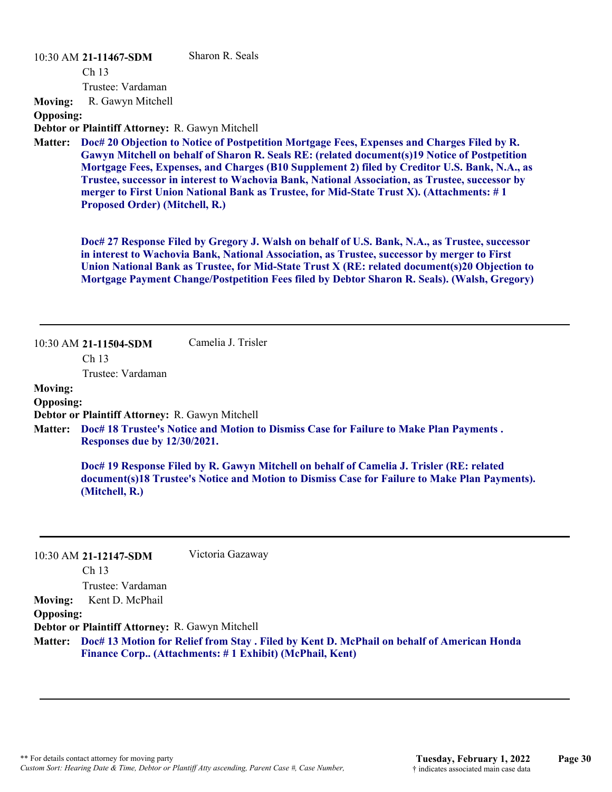#### 10:30 AM **21-11467-SDM**

Sharon R. Seals

Ch 13

Trustee: Vardaman

**Moving:** R. Gawyn Mitchell

**Opposing:**

**Debtor or Plaintiff Attorney:** R. Gawyn Mitchell

**Doc# 20 Objection to Notice of Postpetition Mortgage Fees, Expenses and Charges Filed by R. Matter: Gawyn Mitchell on behalf of Sharon R. Seals RE: (related document(s)19 Notice of Postpetition Mortgage Fees, Expenses, and Charges (B10 Supplement 2) filed by Creditor U.S. Bank, N.A., as Trustee, successor in interest to Wachovia Bank, National Association, as Trustee, successor by merger to First Union National Bank as Trustee, for Mid-State Trust X). (Attachments: # 1 Proposed Order) (Mitchell, R.)**

**Doc# 27 Response Filed by Gregory J. Walsh on behalf of U.S. Bank, N.A., as Trustee, successor in interest to Wachovia Bank, National Association, as Trustee, successor by merger to First Union National Bank as Trustee, for Mid-State Trust X (RE: related document(s)20 Objection to Mortgage Payment Change/Postpetition Fees filed by Debtor Sharon R. Seals). (Walsh, Gregory)**

10:30 AM **21-11504-SDM**  Ch 13 Camelia J. Trisler

Trustee: Vardaman

#### **Moving:**

#### **Opposing:**

**Debtor or Plaintiff Attorney:** R. Gawyn Mitchell

**Doc# 18 Trustee's Notice and Motion to Dismiss Case for Failure to Make Plan Payments . Matter: Responses due by 12/30/2021.**

**Doc# 19 Response Filed by R. Gawyn Mitchell on behalf of Camelia J. Trisler (RE: related document(s)18 Trustee's Notice and Motion to Dismiss Case for Failure to Make Plan Payments). (Mitchell, R.)**

|                  | $10:30$ AM 21-12147-SDM                         | Victoria Gazaway                                                                                                                                     |
|------------------|-------------------------------------------------|------------------------------------------------------------------------------------------------------------------------------------------------------|
|                  | Ch <sub>13</sub>                                |                                                                                                                                                      |
|                  | Trustee: Vardaman                               |                                                                                                                                                      |
| <b>Moving:</b>   | Kent D. McPhail                                 |                                                                                                                                                      |
| <b>Opposing:</b> |                                                 |                                                                                                                                                      |
|                  | Debtor or Plaintiff Attorney: R. Gawyn Mitchell |                                                                                                                                                      |
| <b>Matter:</b>   |                                                 | Doc# 13 Motion for Relief from Stay . Filed by Kent D. McPhail on behalf of American Honda<br>Finance Corp (Attachments: #1 Exhibit) (McPhail, Kent) |
|                  |                                                 |                                                                                                                                                      |
|                  |                                                 |                                                                                                                                                      |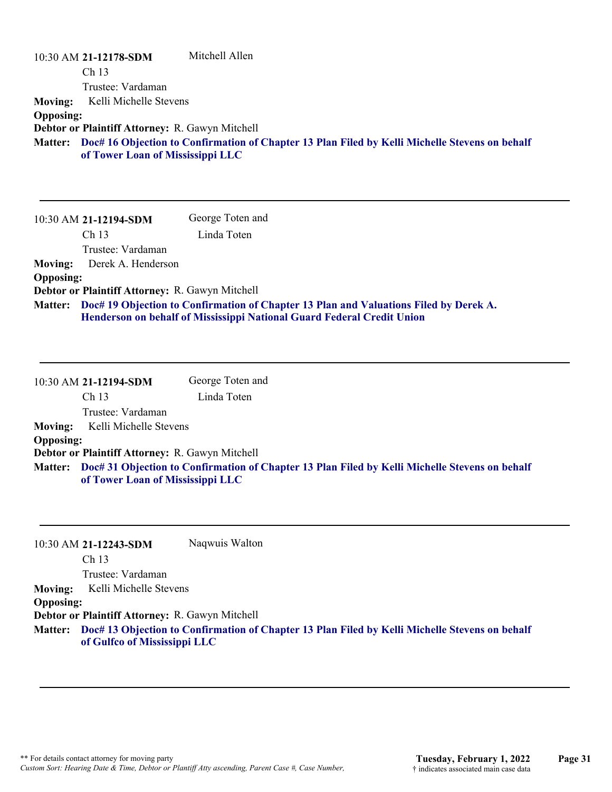|                  | 10:30 AM 21-12178-SDM                           | Mitchell Allen                                                                                         |
|------------------|-------------------------------------------------|--------------------------------------------------------------------------------------------------------|
|                  | Ch <sub>13</sub>                                |                                                                                                        |
|                  | Trustee: Vardaman                               |                                                                                                        |
| <b>Moving:</b>   | Kelli Michelle Stevens                          |                                                                                                        |
| <b>Opposing:</b> |                                                 |                                                                                                        |
|                  | Debtor or Plaintiff Attorney: R. Gawyn Mitchell |                                                                                                        |
|                  | of Tower Loan of Mississippi LLC                | Matter: Doc# 16 Objection to Confirmation of Chapter 13 Plan Filed by Kelli Michelle Stevens on behalf |

|                  | 10:30 AM 21-12194-SDM                           | George Toten and                                                                                                                                                        |
|------------------|-------------------------------------------------|-------------------------------------------------------------------------------------------------------------------------------------------------------------------------|
|                  | Ch <sub>13</sub>                                | Linda Toten                                                                                                                                                             |
|                  | Trustee: Vardaman                               |                                                                                                                                                                         |
|                  | Moving: Derek A. Henderson                      |                                                                                                                                                                         |
| <b>Opposing:</b> |                                                 |                                                                                                                                                                         |
|                  | Debtor or Plaintiff Attorney: R. Gawyn Mitchell |                                                                                                                                                                         |
|                  |                                                 | Matter: Doc# 19 Objection to Confirmation of Chapter 13 Plan and Valuations Filed by Derek A.<br>Henderson on behalf of Mississippi National Guard Federal Credit Union |

|                  | 10:30 AM 21-12194-SDM                           | George Toten and                                                                                       |
|------------------|-------------------------------------------------|--------------------------------------------------------------------------------------------------------|
|                  | Ch <sub>13</sub>                                | Linda Toten                                                                                            |
|                  | Trustee: Vardaman                               |                                                                                                        |
| <b>Moving:</b>   | Kelli Michelle Stevens                          |                                                                                                        |
| <b>Opposing:</b> |                                                 |                                                                                                        |
|                  | Debtor or Plaintiff Attorney: R. Gawyn Mitchell |                                                                                                        |
|                  | of Tower Loan of Mississippi LLC                | Matter: Doc# 31 Objection to Confirmation of Chapter 13 Plan Filed by Kelli Michelle Stevens on behalf |

|                  | 10:30 AM 21-12243-SDM                           | Naqwuis Walton                                                                                         |
|------------------|-------------------------------------------------|--------------------------------------------------------------------------------------------------------|
|                  | Ch <sub>13</sub>                                |                                                                                                        |
|                  | Trustee: Vardaman                               |                                                                                                        |
| <b>Moving:</b>   | Kelli Michelle Stevens                          |                                                                                                        |
| <b>Opposing:</b> |                                                 |                                                                                                        |
|                  | Debtor or Plaintiff Attorney: R. Gawyn Mitchell |                                                                                                        |
|                  |                                                 | Matter: Doc# 13 Objection to Confirmation of Chapter 13 Plan Filed by Kelli Michelle Stevens on behalf |
|                  | of Gulfco of Mississippi LLC                    |                                                                                                        |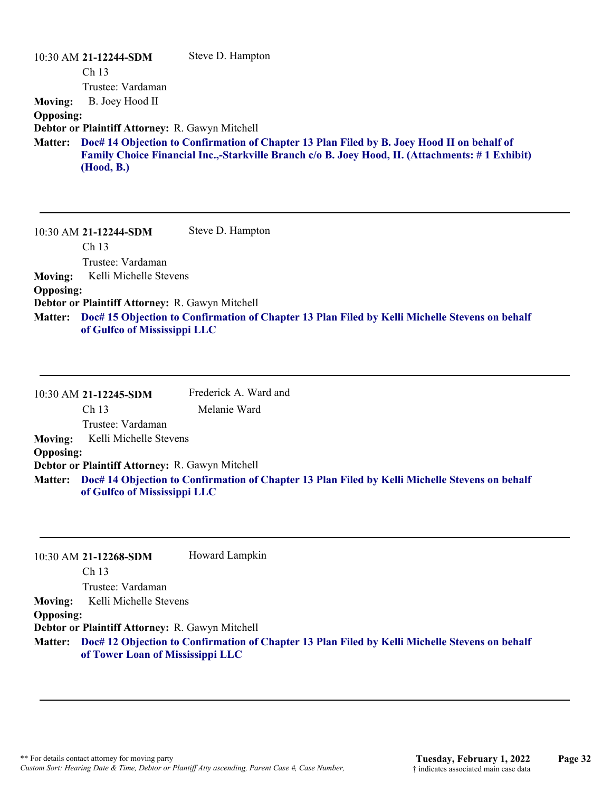|                  | 10:30 AM 21-12244-SDM                           | Steve D. Hampton                                                                                |
|------------------|-------------------------------------------------|-------------------------------------------------------------------------------------------------|
|                  | Ch <sub>13</sub>                                |                                                                                                 |
|                  | Trustee: Vardaman                               |                                                                                                 |
| <b>Moving:</b>   | B. Joey Hood II                                 |                                                                                                 |
| <b>Opposing:</b> |                                                 |                                                                                                 |
|                  | Debtor or Plaintiff Attorney: R. Gawyn Mitchell |                                                                                                 |
| <b>Matter:</b>   |                                                 | Doc# 14 Objection to Confirmation of Chapter 13 Plan Filed by B. Joey Hood II on behalf of      |
|                  |                                                 | Family Choice Financial Inc.,-Starkville Branch c/o B. Joey Hood, II. (Attachments: #1 Exhibit) |
|                  | (Hood, B.)                                      |                                                                                                 |
|                  |                                                 |                                                                                                 |

10:30 AM **21-12244-SDM**  Ch 13 Trustee: Vardaman Steve D. Hampton **Moving:** Kelli Michelle Stevens **Opposing: Debtor or Plaintiff Attorney:** R. Gawyn Mitchell **Doc# 15 Objection to Confirmation of Chapter 13 Plan Filed by Kelli Michelle Stevens on behalf Matter: of Gulfco of Mississippi LLC**

|                  | 10:30 AM 21-12245-SDM                                  | Frederick A. Ward and                                                                                  |
|------------------|--------------------------------------------------------|--------------------------------------------------------------------------------------------------------|
|                  | Ch <sub>13</sub>                                       | Melanie Ward                                                                                           |
|                  | Trustee: Vardaman                                      |                                                                                                        |
| <b>Moving:</b>   | Kelli Michelle Stevens                                 |                                                                                                        |
| <b>Opposing:</b> |                                                        |                                                                                                        |
|                  | <b>Debtor or Plaintiff Attorney: R. Gawyn Mitchell</b> |                                                                                                        |
|                  | of Gulfco of Mississippi LLC                           | Matter: Doc# 14 Objection to Confirmation of Chapter 13 Plan Filed by Kelli Michelle Stevens on behalf |

|                  | 10:30 AM 21-12268-SDM                           | Howard Lampkin                                                                                         |
|------------------|-------------------------------------------------|--------------------------------------------------------------------------------------------------------|
|                  | Ch <sub>13</sub>                                |                                                                                                        |
|                  | Trustee: Vardaman                               |                                                                                                        |
| <b>Moving:</b>   | Kelli Michelle Stevens                          |                                                                                                        |
| <b>Opposing:</b> |                                                 |                                                                                                        |
|                  | Debtor or Plaintiff Attorney: R. Gawyn Mitchell |                                                                                                        |
|                  | of Tower Loan of Mississippi LLC                | Matter: Doc# 12 Objection to Confirmation of Chapter 13 Plan Filed by Kelli Michelle Stevens on behalf |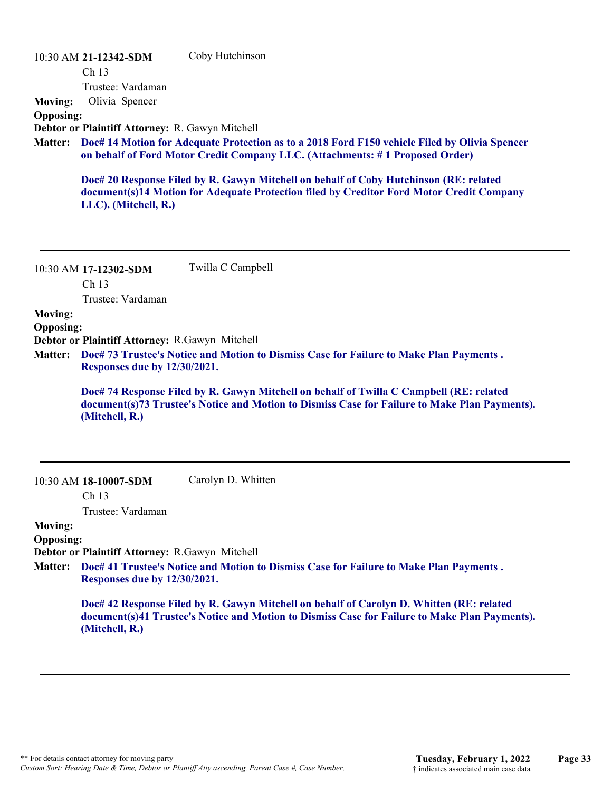|                                    | 10:30 AM 21-12342-SDM<br>Ch 13<br>Trustee: Vardaman                                   | Coby Hutchinson                                                                                                                                                                          |
|------------------------------------|---------------------------------------------------------------------------------------|------------------------------------------------------------------------------------------------------------------------------------------------------------------------------------------|
| <b>Moving:</b><br><b>Opposing:</b> | Olivia Spencer                                                                        |                                                                                                                                                                                          |
|                                    | Debtor or Plaintiff Attorney: R. Gawyn Mitchell                                       |                                                                                                                                                                                          |
| <b>Matter:</b>                     |                                                                                       | Doc# 14 Motion for Adequate Protection as to a 2018 Ford F150 vehicle Filed by Olivia Spencer<br>on behalf of Ford Motor Credit Company LLC. (Attachments: #1 Proposed Order)            |
|                                    | LLC). (Mitchell, R.)                                                                  | Doc# 20 Response Filed by R. Gawyn Mitchell on behalf of Coby Hutchinson (RE: related<br>document(s)14 Motion for Adequate Protection filed by Creditor Ford Motor Credit Company        |
|                                    | 10:30 AM 17-12302-SDM                                                                 | Twilla C Campbell                                                                                                                                                                        |
|                                    | Ch <sub>13</sub>                                                                      |                                                                                                                                                                                          |
|                                    | Trustee: Vardaman                                                                     |                                                                                                                                                                                          |
| <b>Moving:</b>                     |                                                                                       |                                                                                                                                                                                          |
| <b>Opposing:</b>                   |                                                                                       |                                                                                                                                                                                          |
| <b>Matter:</b>                     | Debtor or Plaintiff Attorney: R.Gawyn Mitchell<br><b>Responses due by 12/30/2021.</b> | Doc# 73 Trustee's Notice and Motion to Dismiss Case for Failure to Make Plan Payments.                                                                                                   |
|                                    | (Mitchell, R.)                                                                        | Doc# 74 Response Filed by R. Gawyn Mitchell on behalf of Twilla C Campbell (RE: related<br>document(s)73 Trustee's Notice and Motion to Dismiss Case for Failure to Make Plan Payments). |
|                                    | 10:30 AM 18-10007-SDM<br>Ch 13                                                        | Carolyn D. Whitten                                                                                                                                                                       |
|                                    | Trustee: Vardaman                                                                     |                                                                                                                                                                                          |
| <b>Moving:</b><br><b>Opposing:</b> |                                                                                       |                                                                                                                                                                                          |
| <b>Matter:</b>                     | Debtor or Plaintiff Attorney: R.Gawyn Mitchell<br>Responses due by 12/30/2021.        | Doc# 41 Trustee's Notice and Motion to Dismiss Case for Failure to Make Plan Payments.                                                                                                   |
|                                    |                                                                                       |                                                                                                                                                                                          |

**Doc# 42 Response Filed by R. Gawyn Mitchell on behalf of Carolyn D. Whitten (RE: related document(s)41 Trustee's Notice and Motion to Dismiss Case for Failure to Make Plan Payments). (Mitchell, R.)**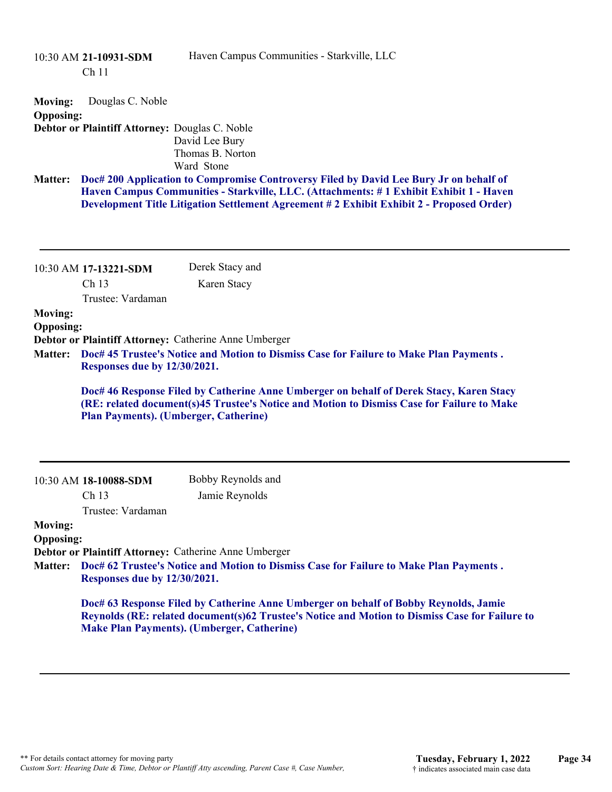|                                                      | 10:30 AM 21-10931-SDM<br>Ch <sub>11</sub>                          | Haven Campus Communities - Starkville, LLC                                                                                                                                                                                                                                   |
|------------------------------------------------------|--------------------------------------------------------------------|------------------------------------------------------------------------------------------------------------------------------------------------------------------------------------------------------------------------------------------------------------------------------|
| <b>Moving:</b><br><b>Opposing:</b>                   | Douglas C. Noble<br>Debtor or Plaintiff Attorney: Douglas C. Noble | David Lee Bury<br>Thomas B. Norton<br>Ward Stone                                                                                                                                                                                                                             |
| <b>Matter:</b>                                       |                                                                    | Doc# 200 Application to Compromise Controversy Filed by David Lee Bury Jr on behalf of<br>Haven Campus Communities - Starkville, LLC. (Attachments: #1 Exhibit Exhibit 1 - Haven<br>Development Title Litigation Settlement Agreement #2 Exhibit Exhibit 2 - Proposed Order) |
|                                                      | 10:30 AM 17-13221-SDM                                              | Derek Stacy and                                                                                                                                                                                                                                                              |
|                                                      | Ch 13                                                              | Karen Stacy                                                                                                                                                                                                                                                                  |
| <b>Moving:</b><br><b>Opposing:</b><br><b>Matter:</b> | Trustee: Vardaman                                                  | Debtor or Plaintiff Attorney: Catherine Anne Umberger<br>Doc# 45 Trustee's Notice and Motion to Dismiss Case for Failure to Make Plan Payments.                                                                                                                              |
|                                                      | <b>Responses due by 12/30/2021.</b>                                |                                                                                                                                                                                                                                                                              |
|                                                      |                                                                    | Doc# 46 Response Filed by Catherine Anne Umberger on behalf of Derek Stacy, Karen Stacy<br>(RE: related document(s)45 Trustee's Notice and Motion to Dismiss Case for Failure to Make<br><b>Plan Payments). (Umberger, Catherine)</b>                                        |
|                                                      | 10:30 AM 18-10088-SDM                                              | Bobby Reynolds and                                                                                                                                                                                                                                                           |
|                                                      | Ch <sub>13</sub>                                                   | Jamie Reynolds                                                                                                                                                                                                                                                               |
| <b>Moving:</b><br><b>Opposing:</b>                   | Trustee: Vardaman                                                  |                                                                                                                                                                                                                                                                              |
| <b>Matter:</b>                                       | Responses due by 12/30/2021.                                       | Debtor or Plaintiff Attorney: Catherine Anne Umberger<br>Doc# 62 Trustee's Notice and Motion to Dismiss Case for Failure to Make Plan Payments.                                                                                                                              |
|                                                      |                                                                    | Doc# 63 Response Filed by Catherine Anne Umberger on behalf of Bobby Reynolds, Jamie<br>Reynolds (RE: related document(s)62 Trustee's Notice and Motion to Dismiss Case for Failure to<br><b>Make Plan Payments). (Umberger, Catherine)</b>                                  |
|                                                      |                                                                    |                                                                                                                                                                                                                                                                              |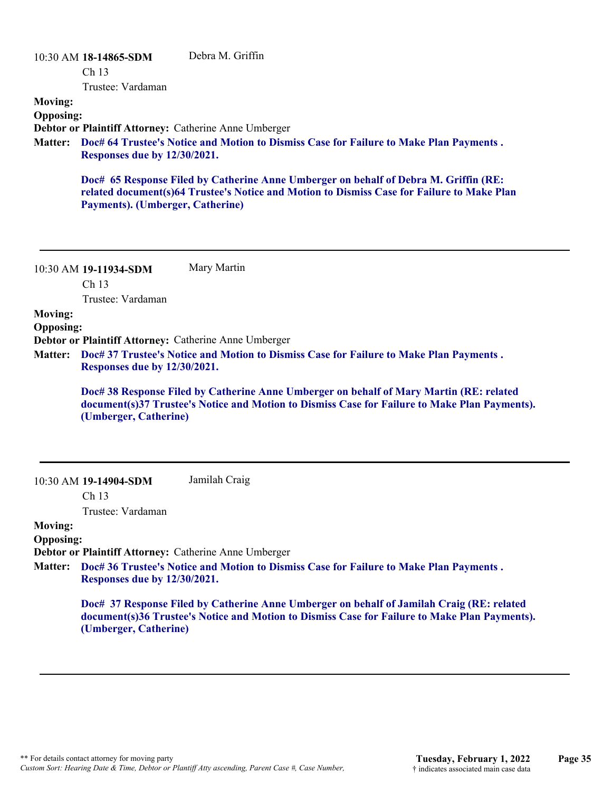| <b>Moving:</b><br><b>Opposing:</b><br><b>Matter:</b> | 10:30 AM 18-14865-SDM<br>Ch 13<br>Trustee: Vardaman<br><b>Responses due by 12/30/2021.</b> | Debra M. Griffin<br>Debtor or Plaintiff Attorney: Catherine Anne Umberger<br>Doc# 64 Trustee's Notice and Motion to Dismiss Case for Failure to Make Plan Payments.                      |
|------------------------------------------------------|--------------------------------------------------------------------------------------------|------------------------------------------------------------------------------------------------------------------------------------------------------------------------------------------|
|                                                      | Payments). (Umberger, Catherine)                                                           | Doc# 65 Response Filed by Catherine Anne Umberger on behalf of Debra M. Griffin (RE:<br>related document(s)64 Trustee's Notice and Motion to Dismiss Case for Failure to Make Plan       |
|                                                      | 10:30 AM 19-11934-SDM<br>Ch <sub>13</sub><br>Trustee: Vardaman                             | Mary Martin                                                                                                                                                                              |
| <b>Moving:</b>                                       |                                                                                            |                                                                                                                                                                                          |
| <b>Opposing:</b>                                     |                                                                                            | Debtor or Plaintiff Attorney: Catherine Anne Umberger                                                                                                                                    |
| <b>Matter:</b>                                       | Responses due by 12/30/2021.                                                               | Doc# 37 Trustee's Notice and Motion to Dismiss Case for Failure to Make Plan Payments.                                                                                                   |
|                                                      | (Umberger, Catherine)                                                                      | Doc# 38 Response Filed by Catherine Anne Umberger on behalf of Mary Martin (RE: related<br>document(s)37 Trustee's Notice and Motion to Dismiss Case for Failure to Make Plan Payments). |
|                                                      | 10:30 AM 19-14904-SDM<br>Ch 13                                                             | Jamilah Craig                                                                                                                                                                            |
| <b>Moving:</b><br><b>Opposing:</b><br><b>Matter:</b> | Trustee: Vardaman<br>Responses due by 12/30/2021.                                          | Debtor or Plaintiff Attorney: Catherine Anne Umberger<br>Doc# 36 Trustee's Notice and Motion to Dismiss Case for Failure to Make Plan Payments.                                          |
|                                                      |                                                                                            | Dooff 27 Deepense Filed by Catherine Anne Umbergen en behalf of Jamilah Croig (DF) related                                                                                               |

**Doc# 37 Response Filed by Catherine Anne Umberger on behalf of Jamilah Craig (RE: related document(s)36 Trustee's Notice and Motion to Dismiss Case for Failure to Make Plan Payments). (Umberger, Catherine)**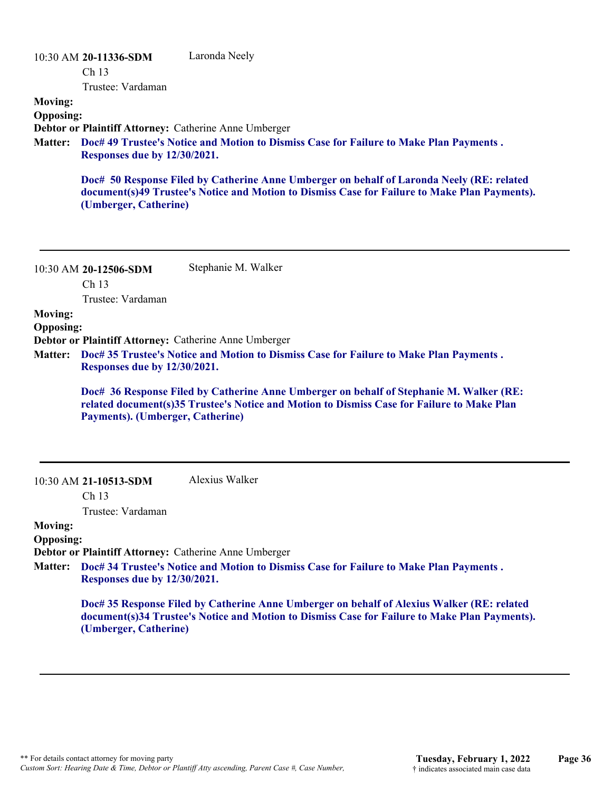|                  | 10:30 AM 20-11336-SDM        | Laronda Neely                                                                                                                                                                              |
|------------------|------------------------------|--------------------------------------------------------------------------------------------------------------------------------------------------------------------------------------------|
|                  | Ch <sub>13</sub>             |                                                                                                                                                                                            |
|                  | Trustee: Vardaman            |                                                                                                                                                                                            |
| <b>Moving:</b>   |                              |                                                                                                                                                                                            |
| <b>Opposing:</b> |                              |                                                                                                                                                                                            |
|                  |                              | Debtor or Plaintiff Attorney: Catherine Anne Umberger                                                                                                                                      |
| <b>Matter:</b>   | Responses due by 12/30/2021. | Doc# 49 Trustee's Notice and Motion to Dismiss Case for Failure to Make Plan Payments.                                                                                                     |
|                  | (Umberger, Catherine)        | Doc# 50 Response Filed by Catherine Anne Umberger on behalf of Laronda Neely (RE: related<br>document(s)49 Trustee's Notice and Motion to Dismiss Case for Failure to Make Plan Payments). |

10:30 AM **20-12506-SDM**  Ch 13 Trustee: Vardaman Stephanie M. Walker

**Moving:**

**Opposing:**

**Debtor or Plaintiff Attorney:** Catherine Anne Umberger

**Doc# 35 Trustee's Notice and Motion to Dismiss Case for Failure to Make Plan Payments . Matter: Responses due by 12/30/2021.**

> **Doc# 36 Response Filed by Catherine Anne Umberger on behalf of Stephanie M. Walker (RE: related document(s)35 Trustee's Notice and Motion to Dismiss Case for Failure to Make Plan Payments). (Umberger, Catherine)**

10:30 AM **21-10513-SDM**  Alexius Walker

Ch 13

Trustee: Vardaman

# **Moving:**

**Opposing:**

**Debtor or Plaintiff Attorney:** Catherine Anne Umberger

**Doc# 34 Trustee's Notice and Motion to Dismiss Case for Failure to Make Plan Payments . Matter: Responses due by 12/30/2021.**

> **Doc# 35 Response Filed by Catherine Anne Umberger on behalf of Alexius Walker (RE: related document(s)34 Trustee's Notice and Motion to Dismiss Case for Failure to Make Plan Payments). (Umberger, Catherine)**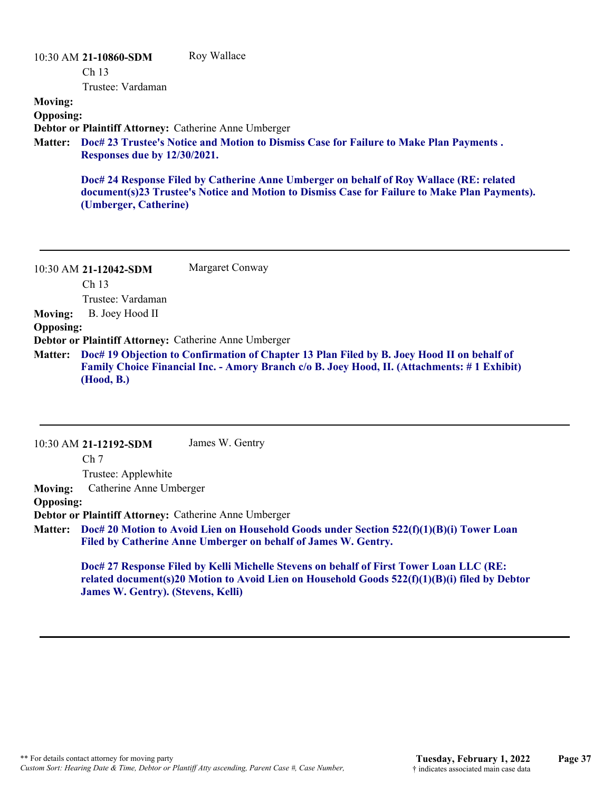|                  | 10:30 AM 21-10860-SDM        | Roy Wallace                                                                                                                                                                              |
|------------------|------------------------------|------------------------------------------------------------------------------------------------------------------------------------------------------------------------------------------|
|                  | Ch <sub>13</sub>             |                                                                                                                                                                                          |
|                  | Trustee: Vardaman            |                                                                                                                                                                                          |
| <b>Moving:</b>   |                              |                                                                                                                                                                                          |
| <b>Opposing:</b> |                              |                                                                                                                                                                                          |
|                  |                              | Debtor or Plaintiff Attorney: Catherine Anne Umberger                                                                                                                                    |
| <b>Matter:</b>   | Responses due by 12/30/2021. | Doc# 23 Trustee's Notice and Motion to Dismiss Case for Failure to Make Plan Payments.                                                                                                   |
|                  | (Umberger, Catherine)        | Doc# 24 Response Filed by Catherine Anne Umberger on behalf of Roy Wallace (RE: related<br>document(s)23 Trustee's Notice and Motion to Dismiss Case for Failure to Make Plan Payments). |

10:30 AM **21-12042-SDM**  Ch 13 Trustee: Vardaman Margaret Conway **Moving:** B. Joey Hood II **Opposing: Debtor or Plaintiff Attorney:** Catherine Anne Umberger **Doc# 19 Objection to Confirmation of Chapter 13 Plan Filed by B. Joey Hood II on behalf of Matter: Family Choice Financial Inc. - Amory Branch c/o B. Joey Hood, II. (Attachments: # 1 Exhibit) (Hood, B.)**

|                  | James W. Gentry<br>10:30 AM 21-12192-SDM                                                                                                                                                                                              |  |  |  |
|------------------|---------------------------------------------------------------------------------------------------------------------------------------------------------------------------------------------------------------------------------------|--|--|--|
|                  | Ch <sub>7</sub>                                                                                                                                                                                                                       |  |  |  |
|                  | Trustee: Applewhite                                                                                                                                                                                                                   |  |  |  |
| <b>Moving:</b>   | Catherine Anne Umberger                                                                                                                                                                                                               |  |  |  |
| <b>Opposing:</b> |                                                                                                                                                                                                                                       |  |  |  |
|                  | Debtor or Plaintiff Attorney: Catherine Anne Umberger                                                                                                                                                                                 |  |  |  |
| <b>Matter:</b>   | Doc# 20 Motion to Avoid Lien on Household Goods under Section 522(f)(1)(B)(i) Tower Loan<br>Filed by Catherine Anne Umberger on behalf of James W. Gentry.                                                                            |  |  |  |
|                  | Doc# 27 Response Filed by Kelli Michelle Stevens on behalf of First Tower Loan LLC (RE:<br>related document(s)20 Motion to Avoid Lien on Household Goods 522(f)(1)(B)(i) filed by Debtor<br><b>James W. Gentry). (Stevens, Kelli)</b> |  |  |  |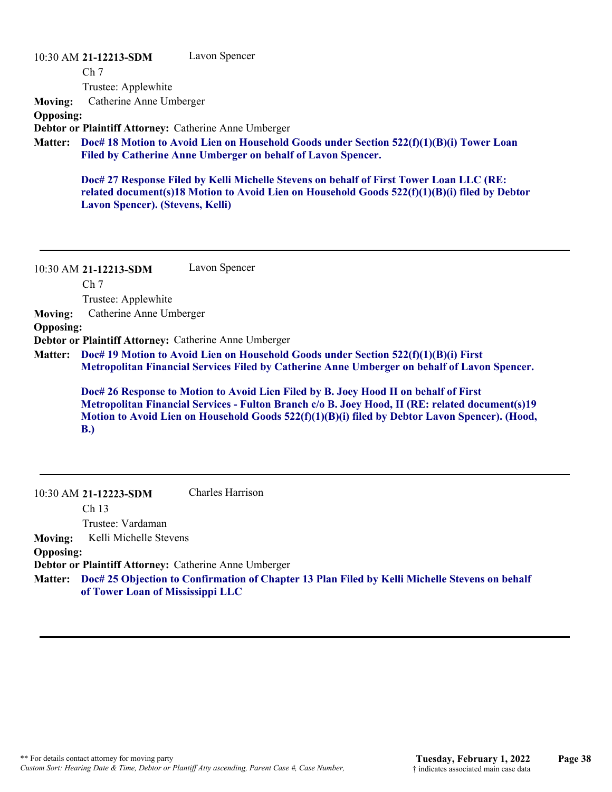10:30 AM **21-12213-SDM** 

Lavon Spencer

Ch 7 Trustee: Applewhite

**Moving:** Catherine Anne Umberger

**Opposing:**

**Debtor or Plaintiff Attorney:** Catherine Anne Umberger

**Doc# 18 Motion to Avoid Lien on Household Goods under Section 522(f)(1)(B)(i) Tower Loan Matter: Filed by Catherine Anne Umberger on behalf of Lavon Spencer.**

**Doc# 27 Response Filed by Kelli Michelle Stevens on behalf of First Tower Loan LLC (RE: related document(s)18 Motion to Avoid Lien on Household Goods 522(f)(1)(B)(i) filed by Debtor Lavon Spencer). (Stevens, Kelli)**

10:30 AM **21-12213-SDM**  Ch 7 Trustee: Applewhite Lavon Spencer **Moving:** Catherine Anne Umberger **Opposing: Debtor or Plaintiff Attorney:** Catherine Anne Umberger **Doc# 19 Motion to Avoid Lien on Household Goods under Section 522(f)(1)(B)(i) First Matter: Metropolitan Financial Services Filed by Catherine Anne Umberger on behalf of Lavon Spencer. Doc# 26 Response to Motion to Avoid Lien Filed by B. Joey Hood II on behalf of First**

**Metropolitan Financial Services - Fulton Branch c/o B. Joey Hood, II (RE: related document(s)19 Motion to Avoid Lien on Household Goods 522(f)(1)(B)(i) filed by Debtor Lavon Spencer). (Hood, B.)**

10:30 AM **21-12223-SDM**  Charles Harrison

> Ch 13 Trustee: Vardaman

**Moving:** Kelli Michelle Stevens

**Opposing:**

**Debtor or Plaintiff Attorney:** Catherine Anne Umberger

**Doc# 25 Objection to Confirmation of Chapter 13 Plan Filed by Kelli Michelle Stevens on behalf Matter: of Tower Loan of Mississippi LLC**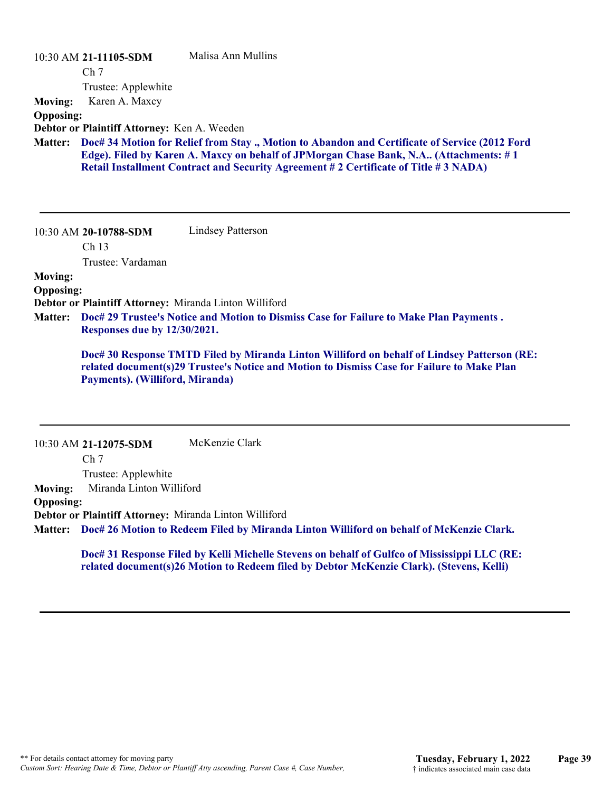| 10:30 AM 21-11105-SDM                                                                                           | Malisa Ann Mullins                                                                          |  |  |  |  |
|-----------------------------------------------------------------------------------------------------------------|---------------------------------------------------------------------------------------------|--|--|--|--|
| Ch <sub>7</sub>                                                                                                 |                                                                                             |  |  |  |  |
| Trustee: Applewhite                                                                                             |                                                                                             |  |  |  |  |
| Karen A. Maxcy<br><b>Moving:</b>                                                                                |                                                                                             |  |  |  |  |
| <b>Opposing:</b>                                                                                                |                                                                                             |  |  |  |  |
| Debtor or Plaintiff Attorney: Ken A. Weeden                                                                     |                                                                                             |  |  |  |  |
| Doc# 34 Motion for Relief from Stay., Motion to Abandon and Certificate of Service (2012 Ford<br><b>Matter:</b> |                                                                                             |  |  |  |  |
|                                                                                                                 | Edge). Filed by Karen A. Maxcy on behalf of JPMorgan Chase Bank, N.A (Attachments: #1       |  |  |  |  |
|                                                                                                                 | Retail Installment Contract and Security Agreement #2 Certificate of Title #3 NADA)         |  |  |  |  |
|                                                                                                                 |                                                                                             |  |  |  |  |
|                                                                                                                 |                                                                                             |  |  |  |  |
|                                                                                                                 |                                                                                             |  |  |  |  |
| 10:30 AM 20-10788-SDM                                                                                           | <b>Lindsey Patterson</b>                                                                    |  |  |  |  |
| Ch <sub>13</sub>                                                                                                |                                                                                             |  |  |  |  |
| Trustee: Vardaman                                                                                               |                                                                                             |  |  |  |  |
| <b>Moving:</b>                                                                                                  |                                                                                             |  |  |  |  |
| <b>Opposing:</b>                                                                                                |                                                                                             |  |  |  |  |
| Debtor or Plaintiff Attorney: Miranda Linton Williford                                                          |                                                                                             |  |  |  |  |
| Doc# 29 Trustee's Notice and Motion to Dismiss Case for Failure to Make Plan Payments.<br><b>Matter:</b>        |                                                                                             |  |  |  |  |
| Responses due by 12/30/2021.                                                                                    |                                                                                             |  |  |  |  |
|                                                                                                                 | Doc# 30 Response TMTD Filed by Miranda Linton Williford on behalf of Lindsey Patterson (RE: |  |  |  |  |

**related document(s)29 Trustee's Notice and Motion to Dismiss Case for Failure to Make Plan Payments). (Williford, Miranda)**

10:30 AM **21-12075-SDM**  Ch 7 Trustee: Applewhite McKenzie Clark **Moving:** Miranda Linton Williford **Opposing: Debtor or Plaintiff Attorney:** Miranda Linton Williford **Doc# 26 Motion to Redeem Filed by Miranda Linton Williford on behalf of McKenzie Clark. Matter:**

**Doc# 31 Response Filed by Kelli Michelle Stevens on behalf of Gulfco of Mississippi LLC (RE: related document(s)26 Motion to Redeem filed by Debtor McKenzie Clark). (Stevens, Kelli)**